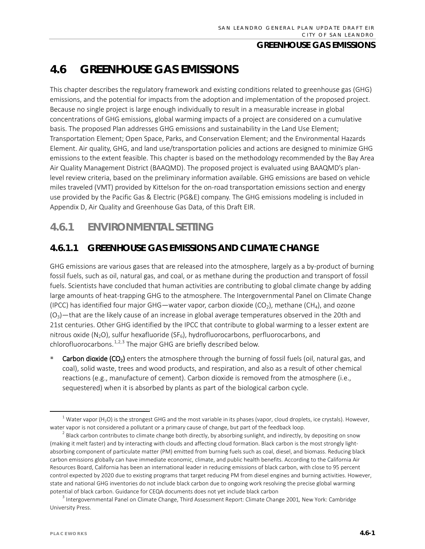# **4.6 GREENHOUSE GAS EMISSIONS**

This chapter describes the regulatory framework and existing conditions related to greenhouse gas (GHG) emissions, and the potential for impacts from the adoption and implementation of the proposed project. Because no single project is large enough individually to result in a measurable increase in global concentrations of GHG emissions, global warming impacts of a project are considered on a cumulative basis. The proposed Plan addresses GHG emissions and sustainability in the Land Use Element; Transportation Element; Open Space, Parks, and Conservation Element; and the Environmental Hazards Element. Air quality, GHG, and land use/transportation policies and actions are designed to minimize GHG emissions to the extent feasible. This chapter is based on the methodology recommended by the Bay Area Air Quality Management District (BAAQMD). The proposed project is evaluated using BAAQMD's planlevel review criteria, based on the preliminary information available. GHG emissions are based on vehicle miles traveled (VMT) provided by Kittelson for the on-road transportation emissions section and energy use provided by the Pacific Gas & Electric (PG&E) company. The GHG emissions modeling is included in Appendix D, Air Quality and Greenhouse Gas Data, of this Draft EIR.

# **4.6.1 ENVIRONMENTAL SETTING**

# **4.6.1.1 GREENHOUSE GAS EMISSIONS AND CLIMATE CHANGE**

GHG emissions are various gases that are released into the atmosphere, largely as a by-product of burning fossil fuels, such as oil, natural gas, and coal, or as methane during the production and transport of fossil fuels. Scientists have concluded that human activities are contributing to global climate change by adding large amounts of heat-trapping GHG to the atmosphere. The Intergovernmental Panel on Climate Change (IPCC) has identified four major GHG—water vapor, carbon dioxide (CO<sub>2</sub>), methane (CH<sub>4</sub>), and ozone  $(O<sub>3</sub>)$ —that are the likely cause of an increase in global average temperatures observed in the 20th and 21st centuries. Other GHG identified by the IPCC that contribute to global warming to a lesser extent are nitrous oxide (N<sub>2</sub>O), sulfur hexafluoride (SF<sub>6</sub>), hydrofluorocarbons, perfluorocarbons, and chlorofluorocarbons.<sup>[1](#page-0-0),[2,](#page-0-1)[3](#page-0-2)</sup> The major GHG are briefly described below.

Carbon dioxide (CO<sub>2</sub>) enters the atmosphere through the burning of fossil fuels (oil, natural gas, and coal), solid waste, trees and wood products, and respiration, and also as a result of other chemical reactions (e.g., manufacture of cement). Carbon dioxide is removed from the atmosphere (i.e., sequestered) when it is absorbed by plants as part of the biological carbon cycle.

<span id="page-0-0"></span><sup>&</sup>lt;sup>1</sup> Water vapor (H<sub>2</sub>O) is the strongest GHG and the most variable in its phases (vapor, cloud droplets, ice crystals). However, water vapor is not considered a pollutant or a primary cause of change, but part of the feedback loop.

<span id="page-0-1"></span> $<sup>2</sup>$  Black carbon contributes to climate change both directly, by absorbing sunlight, and indirectly, by depositing on snow</sup> (making it melt faster) and by interacting with clouds and affecting cloud formation. Black carbon is the most strongly lightabsorbing component of particulate matter (PM) emitted from burning fuels such as coal, diesel, and biomass. Reducing black carbon emissions globally can have immediate economic, climate, and public health benefits. According to the California Air Resources Board, California has been an international leader in reducing emissions of black carbon, with close to 95 percent control expected by 2020 due to existing programs that target reducing PM from diesel engines and burning activities. However, state and national GHG inventories do not include black carbon due to ongoing work resolving the precise global warming potential of black carbon. Guidance for CEQA documents does not yet include black carbon

<span id="page-0-2"></span><sup>3</sup> Intergovernmental Panel on Climate Change, Third Assessment Report: Climate Change 2001*,* New York: Cambridge University Press.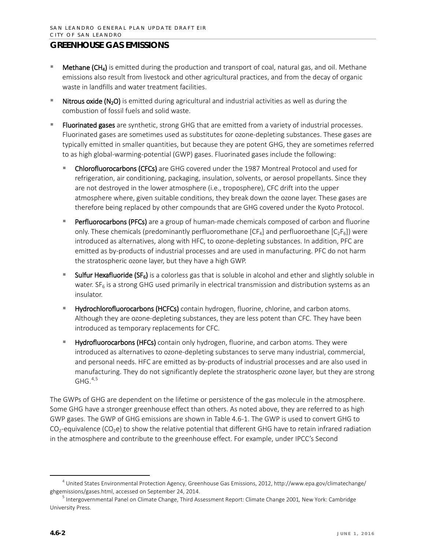- **Methane (CH<sub>4</sub>)** is emitted during the production and transport of coal, natural gas, and oil. Methane emissions also result from livestock and other agricultural practices, and from the decay of organic waste in landfills and water treatment facilities.
- Nitrous oxide (N<sub>2</sub>O) is emitted during agricultural and industrial activities as well as during the combustion of fossil fuels and solid waste.
- Fluorinated gases are synthetic, strong GHG that are emitted from a variety of industrial processes. Fluorinated gases are sometimes used as substitutes for ozone-depleting substances. These gases are typically emitted in smaller quantities, but because they are potent GHG, they are sometimes referred to as high global-warming-potential (GWP) gases. Fluorinated gases include the following:
	- Chlorofluorocarbons (CFCs) are GHG covered under the 1987 Montreal Protocol and used for refrigeration, air conditioning, packaging, insulation, solvents, or aerosol propellants. Since they are not destroyed in the lower atmosphere (i.e., troposphere), CFC drift into the upper atmosphere where, given suitable conditions, they break down the ozone layer. These gases are therefore being replaced by other compounds that are GHG covered under the Kyoto Protocol.
	- Perfluorocarbons (PFCs) are a group of human-made chemicals composed of carbon and fluorine only. These chemicals (predominantly perfluoromethane  $[CF_4]$  and perfluoroethane  $[C_2F_6]$ ) were introduced as alternatives, along with HFC, to ozone-depleting substances. In addition, PFC are emitted as by-products of industrial processes and are used in manufacturing. PFC do not harm the stratospheric ozone layer, but they have a high GWP.
	- Sulfur Hexafluoride (SF<sub>6</sub>) is a colorless gas that is soluble in alcohol and ether and slightly soluble in water.  $SF<sub>6</sub>$  is a strong GHG used primarily in electrical transmission and distribution systems as an insulator.
	- Hydrochlorofluorocarbons (HCFCs) contain hydrogen, fluorine, chlorine, and carbon atoms. Although they are ozone-depleting substances, they are less potent than CFC. They have been introduced as temporary replacements for CFC.
	- Hydrofluorocarbons (HFCs) contain only hydrogen, fluorine, and carbon atoms. They were introduced as alternatives to ozone-depleting substances to serve many industrial, commercial, and personal needs. HFC are emitted as by-products of industrial processes and are also used in manufacturing. They do not significantly deplete the stratospheric ozone layer, but they are strong  $GHG.<sup>4,5</sup>$  $GHG.<sup>4,5</sup>$  $GHG.<sup>4,5</sup>$  $GHG.<sup>4,5</sup>$  $GHG.<sup>4,5</sup>$

The GWPs of GHG are dependent on the lifetime or persistence of the gas molecule in the atmosphere. Some GHG have a stronger greenhouse effect than others. As noted above, they are referred to as high GWP gases. The GWP of GHG emissions are shown in Table 4.6-1. The GWP is used to convert GHG to  $CO_2$ -equivalence (CO<sub>2</sub>e) to show the relative potential that different GHG have to retain infrared radiation in the atmosphere and contribute to the greenhouse effect. For example, under IPCC's Second

<span id="page-1-0"></span> <sup>4</sup> United States Environmental Protection Agency, Greenhouse Gas Emissions, 2012, http://www.epa.gov/climatechange/ ghgemissions/gases.html, accessed on September 24, 2014.

<span id="page-1-1"></span><sup>5</sup> Intergovernmental Panel on Climate Change, Third Assessment Report: Climate Change 2001*,* New York: Cambridge University Press.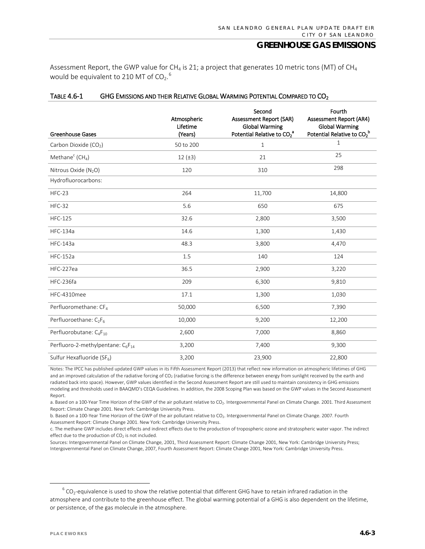Assessment Report, the GWP value for CH<sub>4</sub> is 21; a project that generates 10 metric tons (MT) of CH<sub>4</sub> would be equivalent to 210 MT of CO<sub>2</sub>.<sup>[6](#page-2-0)</sup>

| <b>Greenhouse Gases</b>                                   | Atmospheric<br>Lifetime<br>(Years) | Second<br>Assessment Report (SAR)<br><b>Global Warming</b><br>Potential Relative to CO <sub>2</sub> <sup>a</sup> | Fourth<br><b>Assessment Report (AR4)</b><br><b>Global Warming</b><br>Potential Relative to CO <sub>2</sub> <sup>b</sup> |
|-----------------------------------------------------------|------------------------------------|------------------------------------------------------------------------------------------------------------------|-------------------------------------------------------------------------------------------------------------------------|
| Carbon Dioxide (CO <sub>2</sub> )                         | 50 to 200                          | $\mathbf{1}$                                                                                                     | $\mathbf 1$                                                                                                             |
| Methane <sup>c</sup> (CH <sub>4</sub> )                   | $12 (\pm 3)$                       | 21                                                                                                               | 25                                                                                                                      |
| Nitrous Oxide (N <sub>2</sub> O)                          | 120                                | 310                                                                                                              | 298                                                                                                                     |
| Hydrofluorocarbons:                                       |                                    |                                                                                                                  |                                                                                                                         |
| HFC-23                                                    | 264                                | 11,700                                                                                                           | 14,800                                                                                                                  |
| <b>HFC-32</b>                                             | 5.6                                | 650                                                                                                              | 675                                                                                                                     |
| <b>HFC-125</b>                                            | 32.6                               | 2,800                                                                                                            | 3,500                                                                                                                   |
| <b>HFC-134a</b>                                           | 14.6                               | 1,300                                                                                                            | 1,430                                                                                                                   |
| <b>HFC-143a</b>                                           | 48.3                               | 3,800                                                                                                            | 4,470                                                                                                                   |
| <b>HFC-152a</b>                                           | 1.5                                | 140                                                                                                              | 124                                                                                                                     |
| HFC-227ea                                                 | 36.5                               | 2,900                                                                                                            | 3,220                                                                                                                   |
| HFC-236fa                                                 | 209                                | 6,300                                                                                                            | 9,810                                                                                                                   |
| HFC-4310mee                                               | 17.1                               | 1,300                                                                                                            | 1,030                                                                                                                   |
| Perfluoromethane: CF <sub>4</sub>                         | 50,000                             | 6,500                                                                                                            | 7,390                                                                                                                   |
| Perfluoroethane: C <sub>2</sub> F <sub>6</sub>            | 10,000                             | 9,200                                                                                                            | 12,200                                                                                                                  |
| Perfluorobutane: C <sub>4</sub> F <sub>10</sub>           | 2,600                              | 7,000                                                                                                            | 8,860                                                                                                                   |
| Perfluoro-2-methylpentane: C <sub>6</sub> F <sub>14</sub> | 3,200                              | 7,400                                                                                                            | 9,300                                                                                                                   |
| Sulfur Hexafluoride (SF <sub>6</sub> )                    | 3,200                              | 23,900                                                                                                           | 22,800                                                                                                                  |

#### TABLE 4.6-1 GHG EMISSIONS AND THEIR RELATIVE GLOBAL WARMING POTENTIAL COMPARED TO CO<sub>2</sub>

Notes: The IPCC has published updated GWP values in its Fifth Assessment Report (2013) that reflect new information on atmospheric lifetimes of GHG and an improved calculation of the radiative forcing of CO<sub>2</sub> (radiative forcing is the difference between energy from sunlight received by the earth and radiated back into space). However, GWP values identified in the Second Assessment Report are still used to maintain consistency in GHG emissions modeling and thresholds used in BAAQMD's CEQA Guidelines. In addition, the 2008 Scoping Plan was based on the GWP values in the Second Assessment Report.

a. Based on a 100-Year Time Horizon of the GWP of the air pollutant relative to CO<sub>2</sub>. Intergovernmental Panel on Climate Change. 2001. Third Assessment Report: Climate Change 2001. New York: Cambridge University Press.

b. Based on a 100-Year Time Horizon of the GWP of the air pollutant relative to CO<sub>2</sub>. Intergovernmental Panel on Climate Change. 2007. Fourth Assessment Report: Climate Change 2001. New York: Cambridge University Press.

c. The methane GWP includes direct effects and indirect effects due to the production of tropospheric ozone and stratospheric water vapor. The indirect effect due to the production of  $CO<sub>2</sub>$  is not included.

Sources: Intergovernmental Panel on Climate Change, 2001, Third Assessment Report: Climate Change 2001, New York: Cambridge University Press; Intergovernmental Panel on Climate Change, 2007, Fourth Assessment Report: Climate Change 2001, New York: Cambridge University Press.

<span id="page-2-0"></span> $6$  CO<sub>2</sub>-equivalence is used to show the relative potential that different GHG have to retain infrared radiation in the atmosphere and contribute to the greenhouse effect. The global warming potential of a GHG is also dependent on the lifetime, or persistence, of the gas molecule in the atmosphere.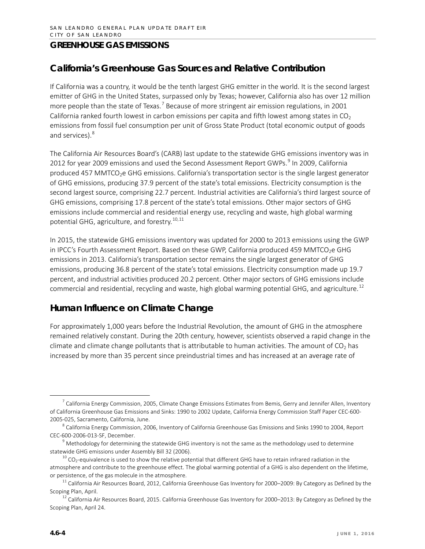# **California's Greenhouse Gas Sources and Relative Contribution**

If California was a country, it would be the tenth largest GHG emitter in the world. It is the second largest emitter of GHG in the United States, surpassed only by Texas; however, California also has over 12 million more people than the state of Texas.<sup>[7](#page-3-0)</sup> Because of more stringent air emission regulations, in 2001 California ranked fourth lowest in carbon emissions per capita and fifth lowest among states in  $CO<sub>2</sub>$ emissions from fossil fuel consumption per unit of Gross State Product (total economic output of goods and services).<sup>[8](#page-3-1)</sup>

The California Air Resources Board's (CARB) last update to the statewide GHG emissions inventory was in 2012 for year 200[9](#page-3-2) emissions and used the Second Assessment Report GWPs.<sup>9</sup> In 2009, California produced 457 MMTCO<sub>2</sub>e GHG emissions. California's transportation sector is the single largest generator of GHG emissions, producing 37.9 percent of the state's total emissions. Electricity consumption is the second largest source, comprising 22.7 percent. Industrial activities are California's third largest source of GHG emissions, comprising 17.8 percent of the state's total emissions. Other major sectors of GHG emissions include commercial and residential energy use, recycling and waste, high global warming potential GHG, agriculture, and forestry.<sup>[10,](#page-3-3)[11](#page-3-4)</sup>

In 2015, the statewide GHG emissions inventory was updated for 2000 to 2013 emissions using the GWP in IPCC's Fourth Assessment Report. Based on these GWP, California produced 459 MMTCO<sub>2</sub>e GHG emissions in 2013. California's transportation sector remains the single largest generator of GHG emissions, producing 36.8 percent of the state's total emissions. Electricity consumption made up 19.7 percent, and industrial activities produced 20.2 percent. Other major sectors of GHG emissions include commercial and residential, recycling and waste, high global warming potential GHG, and agriculture.<sup>[12](#page-3-5)</sup>

# **Human Influence on Climate Change**

For approximately 1,000 years before the Industrial Revolution, the amount of GHG in the atmosphere remained relatively constant. During the 20th century, however, scientists observed a rapid change in the climate and climate change pollutants that is attributable to human activities. The amount of  $CO<sub>2</sub>$  has increased by more than 35 percent since preindustrial times and has increased at an average rate of

<span id="page-3-0"></span> $^7$  California Energy Commission, 2005, Climate Change Emissions Estimates from Bemis, Gerry and Jennifer Allen, Inventory of California Greenhouse Gas Emissions and Sinks: 1990 to 2002 Update, California Energy Commission Staff Paper CEC-600- 2005-025, Sacramento, California, June.

<span id="page-3-1"></span><sup>&</sup>lt;sup>8</sup> California Energy Commission, 2006, Inventory of California Greenhouse Gas Emissions and Sinks 1990 to 2004, Report CEC-600-2006-013-SF, December.

<span id="page-3-2"></span> $9$  Methodology for determining the statewide GHG inventory is not the same as the methodology used to determine statewide GHG emissions under Assembly Bill 32 (2006).

<span id="page-3-3"></span> $10$  CO<sub>2</sub>-equivalence is used to show the relative potential that different GHG have to retain infrared radiation in the atmosphere and contribute to the greenhouse effect. The global warming potential of a GHG is also dependent on the lifetime, or persistence, of the gas molecule in the atmosphere.

<span id="page-3-4"></span> $11$  California Air Resources Board, 2012, California Greenhouse Gas Inventory for 2000–2009: By Category as Defined by the Scoping Plan, April.

<span id="page-3-5"></span> $12$  California Air Resources Board, 2015. California Greenhouse Gas Inventory for 2000–2013: By Category as Defined by the Scoping Plan, April 24.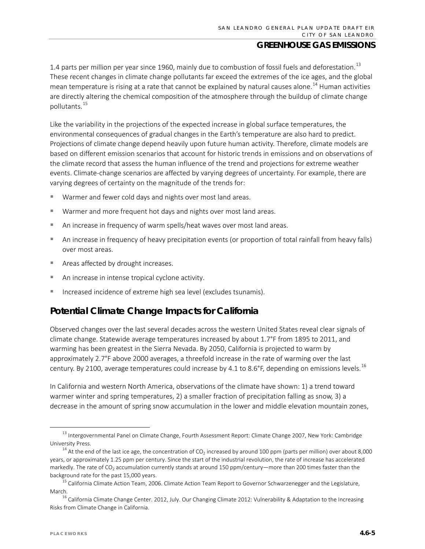1.4 parts per million per year since 1960, mainly due to combustion of fossil fuels and deforestation.<sup>[13](#page-4-0)</sup> These recent changes in climate change pollutants far exceed the extremes of the ice ages, and the global mean temperature is rising at a rate that cannot be explained by natural causes alone.<sup>[14](#page-4-1)</sup> Human activities are directly altering the chemical composition of the atmosphere through the buildup of climate change pollutants.[15](#page-4-2)

Like the variability in the projections of the expected increase in global surface temperatures, the environmental consequences of gradual changes in the Earth's temperature are also hard to predict. Projections of climate change depend heavily upon future human activity. Therefore, climate models are based on different emission scenarios that account for historic trends in emissions and on observations of the climate record that assess the human influence of the trend and projections for extreme weather events. Climate-change scenarios are affected by varying degrees of uncertainty. For example, there are varying degrees of certainty on the magnitude of the trends for:

- Warmer and fewer cold days and nights over most land areas.
- Warmer and more frequent hot days and nights over most land areas.
- An increase in frequency of warm spells/heat waves over most land areas.
- An increase in frequency of heavy precipitation events (or proportion of total rainfall from heavy falls) over most areas.
- **Areas affected by drought increases.**
- An increase in intense tropical cyclone activity.
- Increased incidence of extreme high sea level (excludes tsunamis).

# **Potential Climate Change Impacts for California**

Observed changes over the last several decades across the western United States reveal clear signals of climate change. Statewide average temperatures increased by about 1.7°F from 1895 to 2011, and warming has been greatest in the Sierra Nevada. By 2050, California is projected to warm by approximately 2.7°F above 2000 averages, a threefold increase in the rate of warming over the last century. By 2100, average temperatures could increase by 4.1 to 8.6°F, depending on emissions levels.<sup>[16](#page-4-3)</sup>

In California and western North America, observations of the climate have shown: 1) a trend toward warmer winter and spring temperatures, 2) a smaller fraction of precipitation falling as snow, 3) a decrease in the amount of spring snow accumulation in the lower and middle elevation mountain zones,

<span id="page-4-0"></span><sup>&</sup>lt;sup>13</sup> Intergovernmental Panel on Climate Change, Fourth Assessment Report: Climate Change 2007, New York: Cambridge University Press.

<span id="page-4-1"></span> $14$  At the end of the last ice age, the concentration of CO<sub>2</sub> increased by around 100 ppm (parts per million) over about 8,000 years, or approximately 1.25 ppm per century. Since the start of the industrial revolution, the rate of increase has accelerated markedly. The rate of CO<sub>2</sub> accumulation currently stands at around 150 ppm/century—more than 200 times faster than the background rate for the past 15,000 years.

<span id="page-4-2"></span><sup>&</sup>lt;sup>15</sup> California Climate Action Team, 2006. Climate Action Team Report to Governor Schwarzenegger and the Legislature, March.

<span id="page-4-3"></span><sup>&</sup>lt;sup>16</sup> California Climate Change Center. 2012, July. Our Changing Climate 2012: Vulnerability & Adaptation to the Increasing Risks from Climate Change in California.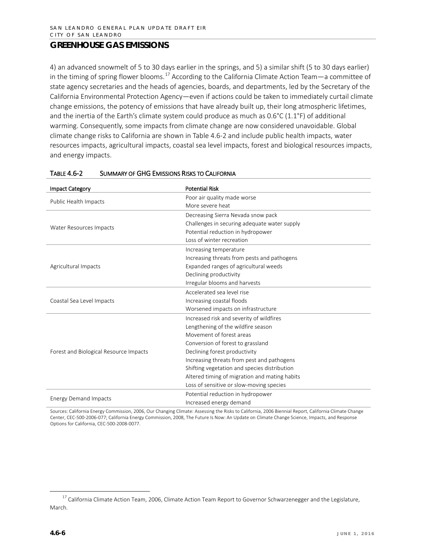4) an advanced snowmelt of 5 to 30 days earlier in the springs, and 5) a similar shift (5 to 30 days earlier) in the timing of spring flower blooms.<sup>[17](#page-5-0)</sup> According to the California Climate Action Team—a committee of state agency secretaries and the heads of agencies, boards, and departments, led by the Secretary of the California Environmental Protection Agency—even if actions could be taken to immediately curtail climate change emissions, the potency of emissions that have already built up, their long atmospheric lifetimes, and the inertia of the Earth's climate system could produce as much as 0.6°C (1.1°F) of additional warming. Consequently, some impacts from climate change are now considered unavoidable. Global climate change risks to California are shown in Table 4.6-2 and include public health impacts, water resources impacts, agricultural impacts, coastal sea level impacts, forest and biological resources impacts, and energy impacts.

| <b>Impact Category</b>                 | <b>Potential Risk</b>                         |
|----------------------------------------|-----------------------------------------------|
|                                        | Poor air quality made worse                   |
| Public Health Impacts                  | More severe heat                              |
|                                        | Decreasing Sierra Nevada snow pack            |
|                                        | Challenges in securing adequate water supply  |
| Water Resources Impacts                | Potential reduction in hydropower             |
|                                        | Loss of winter recreation                     |
|                                        | Increasing temperature                        |
|                                        | Increasing threats from pests and pathogens   |
| Agricultural Impacts                   | Expanded ranges of agricultural weeds         |
|                                        | Declining productivity                        |
|                                        | Irregular blooms and harvests                 |
|                                        | Accelerated sea level rise                    |
| Coastal Sea Level Impacts              | Increasing coastal floods                     |
|                                        | Worsened impacts on infrastructure            |
|                                        | Increased risk and severity of wildfires      |
|                                        | Lengthening of the wildfire season            |
|                                        | Movement of forest areas                      |
|                                        | Conversion of forest to grassland             |
| Forest and Biological Resource Impacts | Declining forest productivity                 |
|                                        | Increasing threats from pest and pathogens    |
|                                        | Shifting vegetation and species distribution  |
|                                        | Altered timing of migration and mating habits |
|                                        | Loss of sensitive or slow-moving species      |
|                                        | Potential reduction in hydropower             |
| <b>Energy Demand Impacts</b>           | Increased energy demand                       |

#### TABLE 4.6-2 SUMMARY OF GHG EMISSIONS RISKS TO CALIFORNIA

Sources: California Energy Commission, 2006, Our Changing Climate: Assessing the Risks to California, 2006 Biennial Report, California Climate Change Center, CEC-500-2006-077; California Energy Commission, 2008, The Future Is Now: An Update on Climate Change Science, Impacts, and Response Options for California, CEC-500-2008-0077.

<span id="page-5-0"></span><sup>&</sup>lt;sup>17</sup> California Climate Action Team, 2006, Climate Action Team Report to Governor Schwarzenegger and the Legislature, March.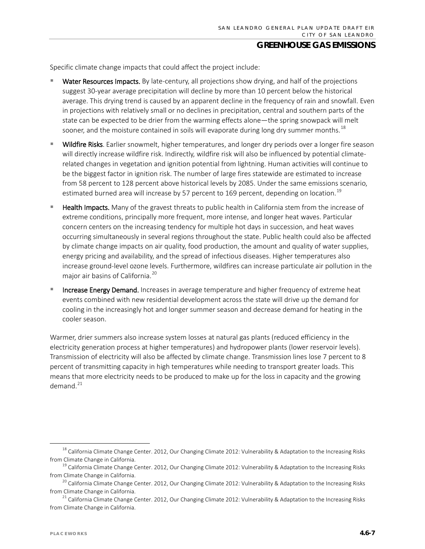Specific climate change impacts that could affect the project include:

- Water Resources Impacts. By late-century, all projections show drying, and half of the projections suggest 30-year average precipitation will decline by more than 10 percent below the historical average. This drying trend is caused by an apparent decline in the frequency of rain and snowfall. Even in projections with relatively small or no declines in precipitation, central and southern parts of the state can be expected to be drier from the warming effects alone—the spring snowpack will melt sooner, and the moisture contained in soils will evaporate during long dry summer months.<sup>[18](#page-6-0)</sup>
- Wildfire Risks. Earlier snowmelt, higher temperatures, and longer dry periods over a longer fire season will directly increase wildfire risk. Indirectly, wildfire risk will also be influenced by potential climaterelated changes in vegetation and ignition potential from lightning. Human activities will continue to be the biggest factor in ignition risk. The number of large fires statewide are estimated to increase from 58 percent to 128 percent above historical levels by 2085. Under the same emissions scenario, estimated burned area will increase by 57 percent to 169 percent, depending on location.<sup>[19](#page-6-1)</sup>
- Health Impacts. Many of the gravest threats to public health in California stem from the increase of extreme conditions, principally more frequent, more intense, and longer heat waves. Particular concern centers on the increasing tendency for multiple hot days in succession, and heat waves occurring simultaneously in several regions throughout the state. Public health could also be affected by climate change impacts on air quality, food production, the amount and quality of water supplies, energy pricing and availability, and the spread of infectious diseases. Higher temperatures also increase ground-level ozone levels. Furthermore, wildfires can increase particulate air pollution in the major air basins of California.<sup>[20](#page-6-2)</sup>
- Increase Energy Demand. Increases in average temperature and higher frequency of extreme heat events combined with new residential development across the state will drive up the demand for cooling in the increasingly hot and longer summer season and decrease demand for heating in the cooler season.

Warmer, drier summers also increase system losses at natural gas plants (reduced efficiency in the electricity generation process at higher temperatures) and hydropower plants (lower reservoir levels). Transmission of electricity will also be affected by climate change. Transmission lines lose 7 percent to 8 percent of transmitting capacity in high temperatures while needing to transport greater loads. This means that more electricity needs to be produced to make up for the loss in capacity and the growing demand. $^{21}$  $^{21}$  $^{21}$ 

<span id="page-6-0"></span><sup>&</sup>lt;sup>18</sup> California Climate Change Center. 2012, Our Changing Climate 2012: Vulnerability & Adaptation to the Increasing Risks from Climate Change in California.

<span id="page-6-1"></span><sup>&</sup>lt;sup>19</sup> California Climate Change Center. 2012, Our Changing Climate 2012: Vulnerability & Adaptation to the Increasing Risks from Climate Change in California.

<span id="page-6-2"></span><sup>&</sup>lt;sup>20</sup> California Climate Change Center. 2012, Our Changing Climate 2012: Vulnerability & Adaptation to the Increasing Risks from Climate Change in California.

<span id="page-6-3"></span> $21$  California Climate Change Center. 2012, Our Changing Climate 2012: Vulnerability & Adaptation to the Increasing Risks from Climate Change in California.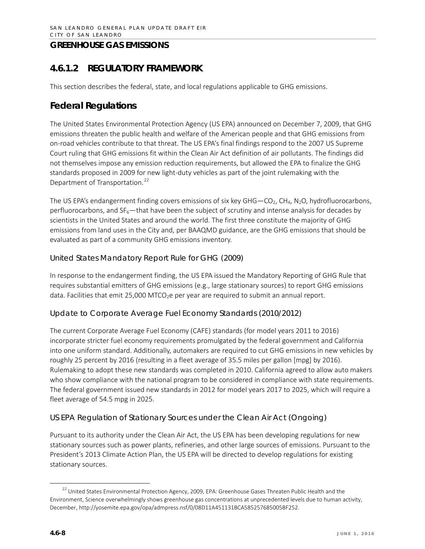# **4.6.1.2 REGULATORY FRAMEWORK**

This section describes the federal, state, and local regulations applicable to GHG emissions.

# **Federal Regulations**

The United States Environmental Protection Agency (US EPA) announced on December 7, 2009, that GHG emissions threaten the public health and welfare of the American people and that GHG emissions from on-road vehicles contribute to that threat. The US EPA's final findings respond to the 2007 US Supreme Court ruling that GHG emissions fit within the Clean Air Act definition of air pollutants. The findings did not themselves impose any emission reduction requirements, but allowed the EPA to finalize the GHG standards proposed in 2009 for new light-duty vehicles as part of the joint rulemaking with the Department of Transportation.<sup>[22](#page-7-0)</sup>

The US EPA's endangerment finding covers emissions of six key GHG—CO<sub>2</sub>, CH<sub>4</sub>, N<sub>2</sub>O, hydrofluorocarbons, perfluorocarbons, and  $SF<sub>6</sub>$ —that have been the subject of scrutiny and intense analysis for decades by scientists in the United States and around the world. The first three constitute the majority of GHG emissions from land uses in the City and, per BAAQMD guidance, are the GHG emissions that should be evaluated as part of a community GHG emissions inventory.

### *United States Mandatory Report Rule for GHG (2009)*

In response to the endangerment finding, the US EPA issued the Mandatory Reporting of GHG Rule that requires substantial emitters of GHG emissions (e.g., large stationary sources) to report GHG emissions data. Facilities that emit 25,000 MTCO<sub>2</sub>e per year are required to submit an annual report.

#### *Update to Corporate Average Fuel Economy Standards (2010/2012)*

The current Corporate Average Fuel Economy (CAFE) standards (for model years 2011 to 2016) incorporate stricter fuel economy requirements promulgated by the federal government and California into one uniform standard. Additionally, automakers are required to cut GHG emissions in new vehicles by roughly 25 percent by 2016 (resulting in a fleet average of 35.5 miles per gallon [mpg] by 2016). Rulemaking to adopt these new standards was completed in 2010. California agreed to allow auto makers who show compliance with the national program to be considered in compliance with state requirements. The federal government issued new standards in 2012 for model years 2017 to 2025, which will require a fleet average of 54.5 mpg in 2025.

## *US EPA Regulation of Stationary Sources under the Clean Air Act (Ongoing)*

Pursuant to its authority under the Clean Air Act, the US EPA has been developing regulations for new stationary sources such as power plants, refineries, and other large sources of emissions. Pursuant to the President's 2013 Climate Action Plan, the US EPA will be directed to develop regulations for existing stationary sources.

<span id="page-7-0"></span><sup>&</sup>lt;sup>22</sup> United States Environmental Protection Agency, 2009, EPA: Greenhouse Gases Threaten Public Health and the Environment, Science overwhelmingly shows greenhouse gas concentrations at unprecedented levels due to human activity, December, http://yosemite.epa.gov/opa/admpress.nsf/0/08D11A451131BCA585257685005BF252.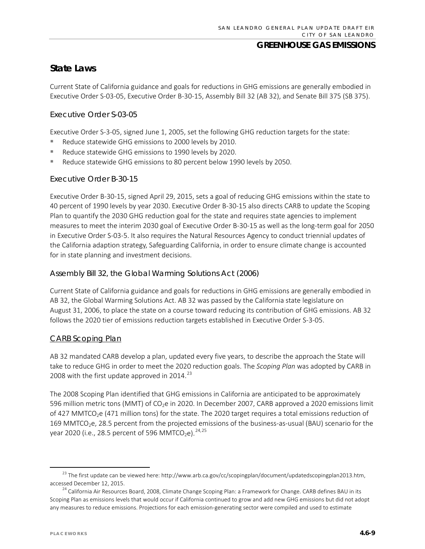# **State Laws**

Current State of California guidance and goals for reductions in GHG emissions are generally embodied in Executive Order S-03-05, Executive Order B-30-15, Assembly Bill 32 (AB 32), and Senate Bill 375 (SB 375).

#### *Executive Order S-03-05*

Executive Order S-3-05, signed June 1, 2005, set the following GHG reduction targets for the state:

- Reduce statewide GHG emissions to 2000 levels by 2010.
- Reduce statewide GHG emissions to 1990 levels by 2020.
- Reduce statewide GHG emissions to 80 percent below 1990 levels by 2050.

#### *Executive Order B-30-15*

Executive Order B-30-15, signed April 29, 2015, sets a goal of reducing GHG emissions within the state to 40 percent of 1990 levels by year 2030. Executive Order B-30-15 also directs CARB to update the Scoping Plan to quantify the 2030 GHG reduction goal for the state and requires state agencies to implement measures to meet the interim 2030 goal of Executive Order B-30-15 as well as the long-term goal for 2050 in Executive Order S-03-5. It also requires the Natural Resources Agency to conduct triennial updates of the California adaption strategy, Safeguarding California, in order to ensure climate change is accounted for in state planning and investment decisions.

#### *Assembly Bill 32, the Global Warming Solutions Act (2006)*

Current State of California guidance and goals for reductions in GHG emissions are generally embodied in AB 32, the Global Warming Solutions Act. AB 32 was passed by the California state legislature on August 31, 2006, to place the state on a course toward reducing its contribution of GHG emissions. AB 32 follows the 2020 tier of emissions reduction targets established in Executive Order S-3-05.

#### CARB Scoping Plan

AB 32 mandated CARB develop a plan, updated every five years, to describe the approach the State will take to reduce GHG in order to meet the 2020 reduction goals. The *Scoping Plan* was adopted by CARB in 2008 with the first update approved in 2014. $^{23}$  $^{23}$  $^{23}$ 

The 2008 Scoping Plan identified that GHG emissions in California are anticipated to be approximately 596 million metric tons (MMT) of CO<sub>2</sub>e in 2020. In December 2007, CARB approved a 2020 emissions limit of 427 MMTCO<sub>2</sub>e (471 million tons) for the state. The 2020 target requires a total emissions reduction of 169 MMTCO<sub>2</sub>e, 28.5 percent from the projected emissions of the business-as-usual (BAU) scenario for the year 2020 (i.e., 28.5 percent of 596 MMTCO<sub>2</sub>e).<sup>[24,](#page-8-1)[25](#page-8-0)</sup>

<span id="page-8-0"></span><sup>&</sup>lt;sup>23</sup> The first update can be viewed here: http://www.arb.ca.gov/cc/scopingplan/document/updatedscopingplan2013.htm, accessed December 12, 2015.

<span id="page-8-1"></span><sup>&</sup>lt;sup>24</sup> California Air Resources Board, 2008, Climate Change Scoping Plan: a Framework for Change. CARB defines BAU in its Scoping Plan as emissions levels that would occur if California continued to grow and add new GHG emissions but did not adopt any measures to reduce emissions. Projections for each emission-generating sector were compiled and used to estimate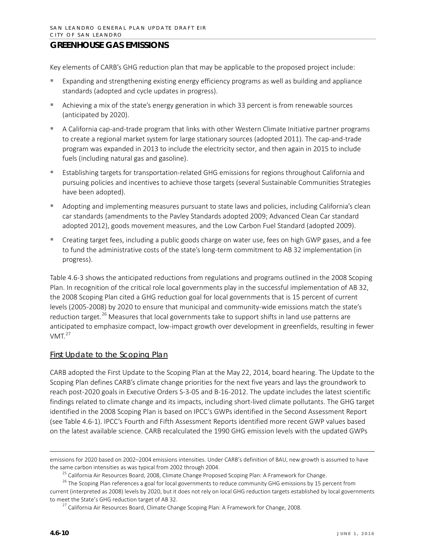Key elements of CARB's GHG reduction plan that may be applicable to the proposed project include:

- Expanding and strengthening existing energy efficiency programs as well as building and appliance standards (adopted and cycle updates in progress).
- Achieving a mix of the state's energy generation in which 33 percent is from renewable sources (anticipated by 2020).
- A California cap-and-trade program that links with other Western Climate Initiative partner programs to create a regional market system for large stationary sources (adopted 2011). The cap-and-trade program was expanded in 2013 to include the electricity sector, and then again in 2015 to include fuels (including natural gas and gasoline).
- Establishing targets for transportation-related GHG emissions for regions throughout California and pursuing policies and incentives to achieve those targets (several Sustainable Communities Strategies have been adopted).
- Adopting and implementing measures pursuant to state laws and policies, including California's clean car standards (amendments to the Pavley Standards adopted 2009; Advanced Clean Car standard adopted 2012), goods movement measures, and the Low Carbon Fuel Standard (adopted 2009).
- Creating target fees, including a public goods charge on water use, fees on high GWP gases, and a fee to fund the administrative costs of the state's long-term commitment to AB 32 implementation (in progress).

Table 4.6-3 shows the anticipated reductions from regulations and programs outlined in the 2008 Scoping Plan. In recognition of the critical role local governments play in the successful implementation of AB 32, the 2008 Scoping Plan cited a GHG reduction goal for local governments that is 15 percent of current levels (2005-2008) by 2020 to ensure that municipal and community-wide emissions match the state's reduction target.<sup>[26](#page-9-0)</sup> Measures that local governments take to support shifts in land use patterns are anticipated to emphasize compact, low-impact growth over development in greenfields, resulting in fewer  $VMT<sub>27</sub>$  $VMT<sub>27</sub>$  $VMT<sub>27</sub>$ 

#### First Update to the Scoping Plan

CARB adopted the First Update to the Scoping Plan at the May 22, 2014, board hearing. The Update to the Scoping Plan defines CARB's climate change priorities for the next five years and lays the groundwork to reach post-2020 goals in Executive Orders S-3-05 and B-16-2012. The update includes the latest scientific findings related to climate change and its impacts, including short-lived climate pollutants. The GHG target identified in the 2008 Scoping Plan is based on IPCC's GWPs identified in the Second Assessment Report (see Table 4.6-1). IPCC's Fourth and Fifth Assessment Reports identified more recent GWP values based on the latest available science. CARB recalculated the 1990 GHG emission levels with the updated GWPs

 $\overline{\phantom{a}}$ 

emissions for 2020 based on 2002–2004 emissions intensities. Under CARB's definition of BAU, new growth is assumed to have the same carbon intensities as was typical from 2002 through 2004.

<sup>&</sup>lt;sup>25</sup> California Air Resources Board, 2008, Climate Change Proposed Scoping Plan: A Framework for Change.

<span id="page-9-1"></span><span id="page-9-0"></span><sup>&</sup>lt;sup>26</sup> The Scoping Plan references a goal for local governments to reduce community GHG emissions by 15 percent from current (interpreted as 2008) levels by 2020, but it does not rely on local GHG reduction targets established by local governments to meet the State's GHG reduction target of AB 32.

<sup>27</sup> California Air Resources Board, Climate Change Scoping Plan: A Framework for Change, 2008*.*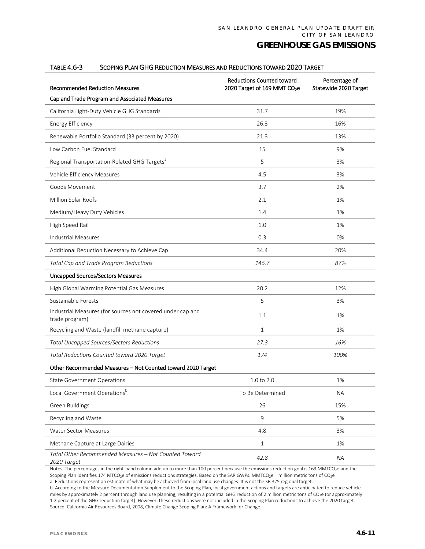| <b>Recommended Reduction Measures</b>                                        | <b>Reductions Counted toward</b><br>2020 Target of 169 MMT CO <sub>2</sub> e | Percentage of<br>Statewide 2020 Target |
|------------------------------------------------------------------------------|------------------------------------------------------------------------------|----------------------------------------|
| Cap and Trade Program and Associated Measures                                |                                                                              |                                        |
| California Light-Duty Vehicle GHG Standards                                  | 31.7                                                                         | 19%                                    |
| <b>Energy Efficiency</b>                                                     | 26.3                                                                         | 16%                                    |
| Renewable Portfolio Standard (33 percent by 2020)                            | 21.3                                                                         | 13%                                    |
| Low Carbon Fuel Standard                                                     | 15                                                                           | 9%                                     |
| Regional Transportation-Related GHG Targets <sup>a</sup>                     | 5                                                                            | 3%                                     |
| Vehicle Efficiency Measures                                                  | 4.5                                                                          | 3%                                     |
| Goods Movement                                                               | 3.7                                                                          | 2%                                     |
| Million Solar Roofs                                                          | 2.1                                                                          | 1%                                     |
| Medium/Heavy Duty Vehicles                                                   | 1.4                                                                          | 1%                                     |
| High Speed Rail                                                              | 1.0                                                                          | 1%                                     |
| <b>Industrial Measures</b>                                                   | 0.3                                                                          | 0%                                     |
| Additional Reduction Necessary to Achieve Cap                                | 34.4                                                                         | 20%                                    |
| Total Cap and Trade Program Reductions                                       | 146.7                                                                        | 87%                                    |
| <b>Uncapped Sources/Sectors Measures</b>                                     |                                                                              |                                        |
| High Global Warming Potential Gas Measures                                   | 20.2                                                                         | 12%                                    |
| Sustainable Forests                                                          | 5                                                                            | 3%                                     |
| Industrial Measures (for sources not covered under cap and<br>trade program) | 1.1                                                                          | 1%                                     |
| Recycling and Waste (landfill methane capture)                               | $\mathbf{1}$                                                                 | 1%                                     |
| <b>Total Uncapped Sources/Sectors Reductions</b>                             | 27.3                                                                         | 16%                                    |
| Total Reductions Counted toward 2020 Target                                  | 174                                                                          | 100%                                   |
| Other Recommended Measures - Not Counted toward 2020 Target                  |                                                                              |                                        |
| <b>State Government Operations</b>                                           | 1.0 to 2.0                                                                   | 1%                                     |
| Local Government Operationsb                                                 | To Be Determined                                                             | <b>NA</b>                              |
| Green Buildings                                                              | 26                                                                           | 15%                                    |
| Recycling and Waste                                                          | 9                                                                            | 5%                                     |
| Water Sector Measures                                                        | 4.8                                                                          | 3%                                     |
| Methane Capture at Large Dairies                                             | $\mathbf{1}$                                                                 | 1%                                     |
| Total Other Recommended Measures - Not Counted Toward<br>2020 Target         | 42.8                                                                         | <b>NA</b>                              |

#### TABLE 4.6-3 SCOPING PLAN GHG REDUCTION MEASURES AND REDUCTIONS TOWARD 2020 TARGET

Notes: The percentages in the right-hand column add up to more than 100 percent because the emissions reduction goal is 169 MMTCO<sub>2</sub>e and the Scoping Plan identifies 174 MTCO<sub>2</sub>e of emissions reductions strategies. Based on the SAR GWPs. MMTCO<sub>2</sub>e = million metric tons of CO<sub>2</sub>e

a. Reductions represent an estimate of what may be achieved from local land use changes. It is not the SB 375 regional target.

b. According to the Measure Documentation Supplement to the Scoping Plan, local government actions and targets are anticipated to reduce vehicle miles by approximately 2 percent through land use planning, resulting in a potential GHG reduction of 2 million metric tons of CO<sub>2</sub>e (or approximately 1.2 percent of the GHG reduction target). However, these reductions were not included in the Scoping Plan reductions to achieve the 2020 target. Source: California Air Resources Board, 2008, Climate Change Scoping Plan: A Framework for Change.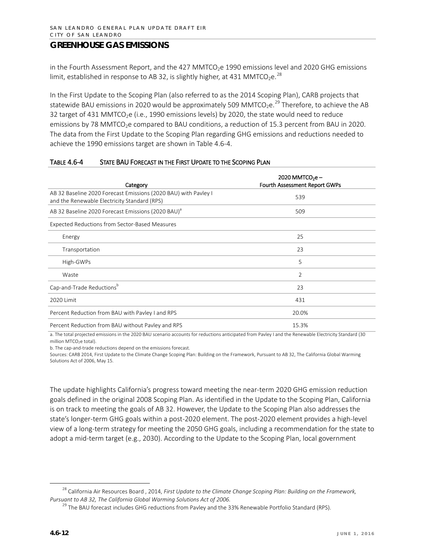in the Fourth Assessment Report, and the 427 MMTCO<sub>2</sub>e 1990 emissions level and 2020 GHG emissions limit, established in response to AB 32, is slightly higher, at 431 MMTCO<sub>2</sub>e.<sup>[28](#page-11-0)</sup>

In the First Update to the Scoping Plan (also referred to as the 2014 Scoping Plan), CARB projects that statewide BAU emissions in 2020 would be approximately 509 MMTCO<sub>2</sub>e.<sup>[29](#page-11-1)</sup> Therefore, to achieve the AB 32 target of 431 MMTCO<sub>2</sub>e (i.e., 1990 emissions levels) by 2020, the state would need to reduce emissions by 78 MMTCO<sub>2</sub>e compared to BAU conditions, a reduction of 15.3 percent from BAU in 2020. The data from the First Update to the Scoping Plan regarding GHG emissions and reductions needed to achieve the 1990 emissions target are shown in Table 4.6-4.

| Category                                                                                                        | $2020$ MMTCO <sub>2</sub> e -<br>Fourth Assessment Report GWPs |
|-----------------------------------------------------------------------------------------------------------------|----------------------------------------------------------------|
| AB 32 Baseline 2020 Forecast Emissions (2020 BAU) with Pavley I<br>and the Renewable Electricity Standard (RPS) | 539                                                            |
| AB 32 Baseline 2020 Forecast Emissions (2020 BAU) <sup>a</sup>                                                  | 509                                                            |
| <b>Expected Reductions from Sector-Based Measures</b>                                                           |                                                                |
| Energy                                                                                                          | 25                                                             |
| Transportation                                                                                                  | 23                                                             |
| High-GWPs                                                                                                       | 5                                                              |
| Waste                                                                                                           | 2                                                              |
| Cap-and-Trade Reductionsb                                                                                       | 23                                                             |
| 2020 Limit                                                                                                      | 431                                                            |
| Percent Reduction from BAU with Payley I and RPS                                                                | 20.0%                                                          |
| Percent Reduction from BAU without Payley and RPS                                                               | 15.3%                                                          |

#### TABLE 4.6-4 STATE BAU FORECAST IN THE FIRST UPDATE TO THE SCOPING PLAN

a. The total projected emissions in the 2020 BAU scenario accounts for reductions anticipated from Pavley I and the Renewable Electricity Standard (30 million MTCO<sub>2</sub>e total).

b. The cap-and-trade reductions depend on the emissions forecast.

Sources: CARB 2014, First Update to the Climate Change Scoping Plan: Building on the Framework, Pursuant to AB 32, The California Global Warming Solutions Act of 2006, May 15.

The update highlights California's progress toward meeting the near-term 2020 GHG emission reduction goals defined in the original 2008 Scoping Plan. As identified in the Update to the Scoping Plan, California is on track to meeting the goals of AB 32. However, the Update to the Scoping Plan also addresses the state's longer-term GHG goals within a post-2020 element. The post-2020 element provides a high-level view of a long-term strategy for meeting the 2050 GHG goals, including a recommendation for the state to adopt a mid-term target (e.g., 2030). According to the Update to the Scoping Plan, local government

<span id="page-11-1"></span><span id="page-11-0"></span><sup>&</sup>lt;sup>28</sup> California Air Resources Board, 2014, *First Update to the Climate Change Scoping Plan: Building on the Framework*, *Pursuant to AB 32, The California Global Warming Solutions Act of 2006.*

 $^{29}$  The BAU forecast includes GHG reductions from Pavley and the 33% Renewable Portfolio Standard (RPS).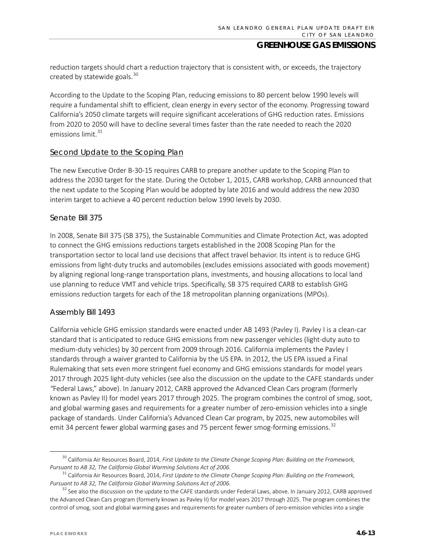reduction targets should chart a reduction trajectory that is consistent with, or exceeds, the trajectory created by statewide goals. $30$ 

According to the Update to the Scoping Plan, reducing emissions to 80 percent below 1990 levels will require a fundamental shift to efficient, clean energy in every sector of the economy. Progressing toward California's 2050 climate targets will require significant accelerations of GHG reduction rates. Emissions from 2020 to 2050 will have to decline several times faster than the rate needed to reach the 2020 emissions limit. $31$ 

#### Second Update to the Scoping Plan

The new Executive Order B-30-15 requires CARB to prepare another update to the Scoping Plan to address the 2030 target for the state. During the October 1, 2015, CARB workshop, CARB announced that the next update to the Scoping Plan would be adopted by late 2016 and would address the new 2030 interim target to achieve a 40 percent reduction below 1990 levels by 2030.

#### *Senate Bill 375*

In 2008, Senate Bill 375 (SB 375), the Sustainable Communities and Climate Protection Act, was adopted to connect the GHG emissions reductions targets established in the 2008 Scoping Plan for the transportation sector to local land use decisions that affect travel behavior. Its intent is to reduce GHG emissions from light-duty trucks and automobiles (excludes emissions associated with goods movement) by aligning regional long-range transportation plans, investments, and housing allocations to local land use planning to reduce VMT and vehicle trips. Specifically, SB 375 required CARB to establish GHG emissions reduction targets for each of the 18 metropolitan planning organizations (MPOs).

#### *Assembly Bill 1493*

California vehicle GHG emission standards were enacted under AB 1493 (Pavley I). Pavley I is a clean-car standard that is anticipated to reduce GHG emissions from new passenger vehicles (light-duty auto to medium-duty vehicles) by 30 percent from 2009 through 2016. California implements the Pavley I standards through a waiver granted to California by the US EPA. In 2012, the US EPA issued a Final Rulemaking that sets even more stringent fuel economy and GHG emissions standards for model years 2017 through 2025 light-duty vehicles (see also the discussion on the update to the CAFE standards under *"*Federal Laws," above). In January 2012, CARB approved the Advanced Clean Cars program (formerly known as Pavley II) for model years 2017 through 2025. The program combines the control of smog, soot, and global warming gases and requirements for a greater number of zero-emission vehicles into a single package of standards. Under California's Advanced Clean Car program, by 2025, new automobiles will emit 34 percent fewer global warming gases and 75 percent fewer smog-forming emissions.<sup>[32](#page-12-2)</sup>

<span id="page-12-0"></span><sup>&</sup>lt;sup>30</sup> California Air Resources Board, 2014, *First Update to the Climate Change Scoping Plan: Building on the Framework, Pursuant to AB 32, The California Global Warming Solutions Act of 2006.*

<span id="page-12-1"></span><sup>&</sup>lt;sup>31</sup> California Air Resources Board, 2014, *First Update to the Climate Change Scoping Plan: Building on the Framework, Pursuant to AB 32, The California Global Warming Solutions Act of 2006.*

<span id="page-12-2"></span> $32$  See also the discussion on the update to the CAFE standards under Federal Laws, above. In January 2012, CARB approved the Advanced Clean Cars program (formerly known as Pavley II) for model years 2017 through 2025. The program combines the control of smog, soot and global warming gases and requirements for greater numbers of zero-emission vehicles into a single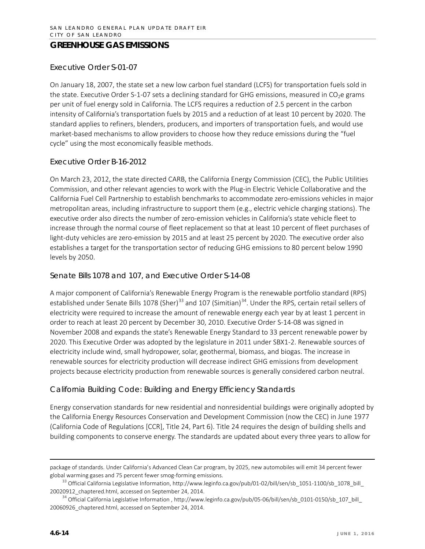#### *Executive Order S-01-07*

On January 18, 2007, the state set a new low carbon fuel standard (LCFS) for transportation fuels sold in the state. Executive Order S-1-07 sets a declining standard for GHG emissions, measured in  $CO<sub>2</sub>e$  grams per unit of fuel energy sold in California. The LCFS requires a reduction of 2.5 percent in the carbon intensity of California's transportation fuels by 2015 and a reduction of at least 10 percent by 2020. The standard applies to refiners, blenders, producers, and importers of transportation fuels, and would use market-based mechanisms to allow providers to choose how they reduce emissions during the "fuel cycle" using the most economically feasible methods.

#### *Executive Order B-16-2012*

On March 23, 2012, the state directed CARB, the California Energy Commission (CEC), the Public Utilities Commission, and other relevant agencies to work with the Plug-in Electric Vehicle Collaborative and the California Fuel Cell Partnership to establish benchmarks to accommodate zero-emissions vehicles in major metropolitan areas, including infrastructure to support them (e.g., electric vehicle charging stations). The executive order also directs the number of zero-emission vehicles in California's state vehicle fleet to increase through the normal course of fleet replacement so that at least 10 percent of fleet purchases of light-duty vehicles are zero-emission by 2015 and at least 25 percent by 2020. The executive order also establishes a target for the transportation sector of reducing GHG emissions to 80 percent below 1990 levels by 2050.

#### *Senate Bills 1078 and 107, and Executive Order S-14-08*

A major component of California's Renewable Energy Program is the renewable portfolio standard (RPS) established under Senate Bills 1078 (Sher)<sup>[33](#page-13-0)</sup> and 107 (Simitian)<sup>[34](#page-13-1)</sup>. Under the RPS, certain retail sellers of electricity were required to increase the amount of renewable energy each year by at least 1 percent in order to reach at least 20 percent by December 30, 2010. Executive Order S-14-08 was signed in November 2008 and expands the state's Renewable Energy Standard to 33 percent renewable power by 2020. This Executive Order was adopted by the legislature in 2011 under SBX1-2. Renewable sources of electricity include wind, small hydropower, solar, geothermal, biomass, and biogas. The increase in renewable sources for electricity production will decrease indirect GHG emissions from development projects because electricity production from renewable sources is generally considered carbon neutral.

#### *California Building Code: Building and Energy Efficiency Standards*

Energy conservation standards for new residential and nonresidential buildings were originally adopted by the California Energy Resources Conservation and Development Commission (now the CEC) in June 1977 (California Code of Regulations [CCR], Title 24, Part 6). Title 24 requires the design of building shells and building components to conserve energy. The standards are updated about every three years to allow for

l

package of standards. Under California's Advanced Clean Car program, by 2025, new automobiles will emit 34 percent fewer global warming gases and 75 percent fewer smog-forming emissions.<br><sup>33</sup> Official California Legislative Information[, http://www.leginfo.ca.gov/pub/01-02/bill/sen/sb\\_1051-1100/sb\\_1078\\_bill\\_](http://www.leginfo.ca.gov/pub/01-02/bill/sen/sb_1051-1100/sb_1078_bill_20020912_chaptered.html)

<span id="page-13-0"></span>[<sup>20020912</sup>\\_chaptered.html,](http://www.leginfo.ca.gov/pub/01-02/bill/sen/sb_1051-1100/sb_1078_bill_20020912_chaptered.html) accessed on September 24, 2014.

<span id="page-13-1"></span><sup>&</sup>lt;sup>34</sup> Official California Legislative Information[, http://www.leginfo.ca.gov/pub/05-06/bill/sen/sb\\_0101-0150/sb\\_107\\_bill\\_](http://www.leginfo.ca.gov/pub/05-06/bill/sen/sb_0101-0150/sb_107_bill_20060926_chaptered.html) [20060926\\_chaptered.html,](http://www.leginfo.ca.gov/pub/05-06/bill/sen/sb_0101-0150/sb_107_bill_20060926_chaptered.html) accessed on September 24, 2014.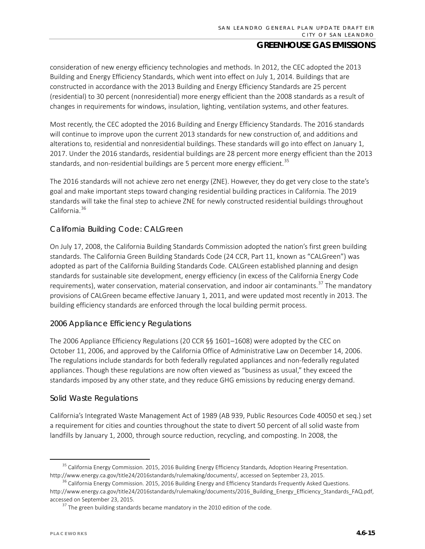consideration of new energy efficiency technologies and methods. In 2012, the CEC adopted the 2013 Building and Energy Efficiency Standards, which went into effect on July 1, 2014. Buildings that are constructed in accordance with the 2013 Building and Energy Efficiency Standards are 25 percent (residential) to 30 percent (nonresidential) more energy efficient than the 2008 standards as a result of changes in requirements for windows, insulation, lighting, ventilation systems, and other features.

Most recently, the CEC adopted the 2016 Building and Energy Efficiency Standards. The 2016 standards will continue to improve upon the current 2013 standards for new construction of, and additions and alterations to, residential and nonresidential buildings. These standards will go into effect on January 1, 2017. Under the 2016 standards, residential buildings are 28 percent more energy efficient than the 2013 standards, and non-residential buildings are 5 percent more energy efficient.<sup>[35](#page-14-0)</sup>

The 2016 standards will not achieve zero net energy (ZNE). However, they do get very close to the state's goal and make important steps toward changing residential building practices in California. The 2019 standards will take the final step to achieve ZNE for newly constructed residential buildings throughout California.<sup>[36](#page-14-1)</sup>

#### *California Building Code: CALGreen*

On July 17, 2008, the California Building Standards Commission adopted the nation's first green building standards. The California Green Building Standards Code (24 CCR, Part 11, known as "CALGreen") was adopted as part of the California Building Standards Code. CALGreen established planning and design standards for sustainable site development, energy efficiency (in excess of the California Energy Code requirements), water conservation, material conservation, and indoor air contaminants.<sup>[37](#page-14-2)</sup> The mandatory provisions of CALGreen became effective January 1, 2011, and were updated most recently in 2013. The building efficiency standards are enforced through the local building permit process.

#### *2006 Appliance Efficiency Regulations*

The 2006 Appliance Efficiency Regulations (20 CCR §§ 1601–1608) were adopted by the CEC on October 11, 2006, and approved by the California Office of Administrative Law on December 14, 2006. The regulations include standards for both federally regulated appliances and non-federally regulated appliances. Though these regulations are now often viewed as "business as usual," they exceed the standards imposed by any other state, and they reduce GHG emissions by reducing energy demand.

#### *Solid Waste Regulations*

California's Integrated Waste Management Act of 1989 (AB 939, Public Resources Code 40050 et seq.) set a requirement for cities and counties throughout the state to divert 50 percent of all solid waste from landfills by January 1, 2000, through source reduction, recycling, and composting. In 2008, the

<span id="page-14-0"></span><sup>&</sup>lt;sup>35</sup> California Energy Commission. 2015, 2016 Building Energy Efficiency Standards, Adoption Hearing Presentation. [http://www.energy.ca.gov/title24/2016standards/rulemaking/documents/,](http://www.energy.ca.gov/title24/2016standards/rulemaking/documents/) accessed on September 23, 2015.<br><sup>[36](http://www.energy.ca.gov/title24/2016standards/rulemaking/documents/)</sup> California Energy Commission. 2015, 2016 Building Energy and Efficiency Standards Frequently Asked Questions.

<span id="page-14-2"></span><span id="page-14-1"></span>[http://www.energy.ca.gov/title24/2016standards/rulemaking/documents/2016\\_Building\\_Energy\\_Efficiency\\_Standards\\_FAQ.pdf,](http://www.energy.ca.gov/title24/2016standards/rulemaking/documents/2016_Building_Energy_Efficiency_Standards_FAQ.pdf)  accessed on September 23, 2015.

 $37$  The green building standards became mandatory in the 2010 edition of the code.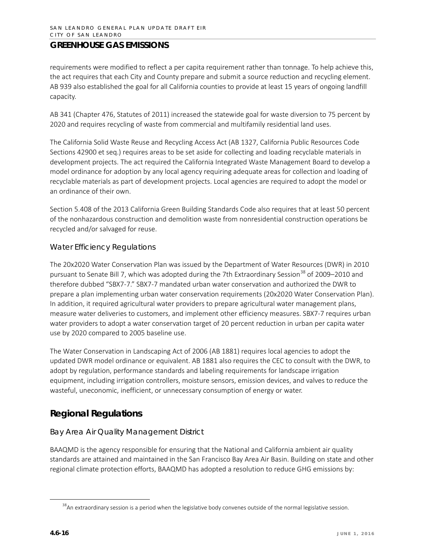requirements were modified to reflect a per capita requirement rather than tonnage. To help achieve this, the act requires that each City and County prepare and submit a source reduction and recycling element. AB 939 also established the goal for all California counties to provide at least 15 years of ongoing landfill capacity.

AB 341 (Chapter 476, Statutes of 2011) increased the statewide goal for waste diversion to 75 percent by 2020 and requires recycling of waste from commercial and multifamily residential land uses.

The California Solid Waste Reuse and Recycling Access Act (AB 1327, California Public Resources Code Sections 42900 et seq.) requires areas to be set aside for collecting and loading recyclable materials in development projects. The act required the California Integrated Waste Management Board to develop a model ordinance for adoption by any local agency requiring adequate areas for collection and loading of recyclable materials as part of development projects. Local agencies are required to adopt the model or an ordinance of their own.

Section 5.408 of the 2013 California Green Building Standards Code also requires that at least 50 percent of the nonhazardous construction and demolition waste from nonresidential construction operations be recycled and/or salvaged for reuse.

### *Water Efficiency Regulations*

The 20x2020 Water Conservation Plan was issued by the Department of Water Resources (DWR) in 2010 pursuant to Senate Bill 7, which was adopted during the 7th Extraordinary Session<sup>[38](#page-15-0)</sup> of 2009-2010 and therefore dubbed "SBX7-7." SBX7-7 mandated urban water conservation and authorized the DWR to prepare a plan implementing urban water conservation requirements (20x2020 Water Conservation Plan). In addition, it required agricultural water providers to prepare agricultural water management plans, measure water deliveries to customers, and implement other efficiency measures. SBX7-7 requires urban water providers to adopt a water conservation target of 20 percent reduction in urban per capita water use by 2020 compared to 2005 baseline use.

The Water Conservation in Landscaping Act of 2006 (AB 1881) requires local agencies to adopt the updated DWR model ordinance or equivalent. AB 1881 also requires the CEC to consult with the DWR, to adopt by regulation, performance standards and labeling requirements for landscape irrigation equipment, including irrigation controllers, moisture sensors, emission devices, and valves to reduce the wasteful, uneconomic, inefficient, or unnecessary consumption of energy or water.

# **Regional Regulations**

## *Bay Area Air Quality Management District*

BAAQMD is the agency responsible for ensuring that the National and California ambient air quality standards are attained and maintained in the San Francisco Bay Area Air Basin. Building on state and other regional climate protection efforts, BAAQMD has adopted a resolution to reduce GHG emissions by:

<span id="page-15-0"></span><sup>&</sup>lt;sup>38</sup>An extraordinary session is a period when the legislative body convenes outside of the normal legislative session.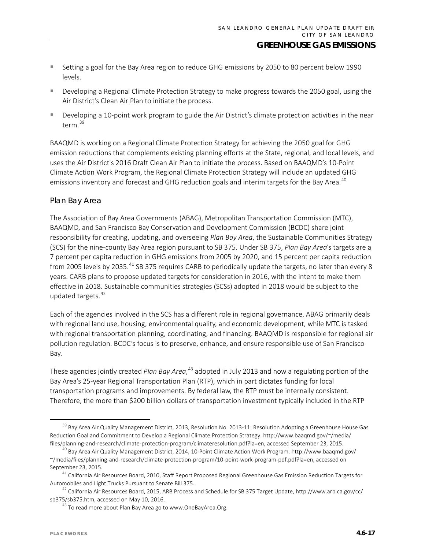- Setting a goal for the Bay Area region to reduce GHG emissions by 2050 to 80 percent below 1990 levels.
- Developing a Regional Climate Protection Strategy to make progress towards the 2050 goal, using the Air District's Clean Air Plan to initiate the process.
- Developing a 10-point work program to guide the Air District's climate protection activities in the near term.[39](#page-16-0)

BAAQMD is working on a Regional Climate Protection Strategy for achieving the 2050 goal for GHG emission reductions that complements existing planning efforts at the State, regional, and local levels, and uses the Air District's 2016 Draft Clean Air Plan to initiate the process. Based on BAAQMD's 10-Point Climate Action Work Program, the Regional Climate Protection Strategy will include an updated GHG emissions inventory and forecast and GHG reduction goals and interim targets for the Bay Area.<sup>[40](#page-16-1)</sup>

#### *Plan Bay Area*

The Association of Bay Area Governments (ABAG), Metropolitan Transportation Commission (MTC), BAAQMD, and San Francisco Bay Conservation and Development Commission (BCDC) share joint responsibility for creating, updating, and overseeing *Plan Bay Area*, the Sustainable Communities Strategy (SCS) for the nine-county Bay Area region pursuant to SB 375. Under SB 375, *Plan Bay Area*'s targets are a 7 percent per capita reduction in GHG emissions from 2005 by 2020, and 15 percent per capita reduction from 2005 levels by 2035.<sup>[41](#page-16-2)</sup> SB 375 requires CARB to periodically update the targets, no later than every 8 years. CARB plans to propose updated targets for consideration in 2016, with the intent to make them effective in 2018. Sustainable communities strategies (SCSs) adopted in 2018 would be subject to the updated targets.<sup>[42](#page-16-3)</sup>

Each of the agencies involved in the SCS has a different role in regional governance. ABAG primarily deals with regional land use, housing, environmental quality, and economic development, while MTC is tasked with regional transportation planning, coordinating, and financing. BAAQMD is responsible for regional air pollution regulation. BCDC's focus is to preserve, enhance, and ensure responsible use of San Francisco Bay.

These agencies jointly created *Plan Bay Area*,<sup>[43](#page-16-4)</sup> adopted in July 2013 and now a regulating portion of the Bay Area's 25-year Regional Transportation Plan (RTP), which in part dictates funding for local transportation programs and improvements. By federal law, the RTP must be internally consistent. Therefore, the more than \$200 billion dollars of transportation investment typically included in the RTP

<span id="page-16-0"></span><sup>&</sup>lt;sup>39</sup> Bay Area Air Quality Management District, 2013, Resolution No. 2013-11: Resolution Adopting a Greenhouse House Gas Reduction Goal and Commitment to Develop a Regional Climate Protection Strategy[. http://www.baaqmd.gov/~/media/](http://www.baaqmd.gov/%7E/media/files/planning-and-research/climate-protection-program/climateresolution.pdf?la=en) [files/planning-and-research/climate-protection-program/climateresolution.pdf?la=en,](http://www.baaqmd.gov/%7E/media/files/planning-and-research/climate-protection-program/climateresolution.pdf?la=en) accessed September 23, 2015.

<span id="page-16-1"></span><sup>40</sup> Bay Area Air Quality Management District, 2014, 10-Point Climate Action Work Program. [http://www.baaqmd.gov/](http://www.baaqmd.gov/%7E/media/files/planning-and-research/climate-protection-program/10-point-work-program-pdf.pdf?la=en) [~/media/files/planning-and-research/climate-protection-program/10-point-work-program-pdf.pdf?la=en,](http://www.baaqmd.gov/%7E/media/files/planning-and-research/climate-protection-program/10-point-work-program-pdf.pdf?la=en) accessed on September 23, 2015.

<span id="page-16-2"></span><sup>&</sup>lt;sup>41</sup> California Air Resources Board, 2010, Staff Report Proposed Regional Greenhouse Gas Emission Reduction Targets for Automobiles and Light Trucks Pursuant to Senate Bill 375.

<span id="page-16-4"></span><span id="page-16-3"></span><sup>&</sup>lt;sup>42</sup> California Air Resources Board, 2015, ARB Process and Schedule for SB 375 Target Update, http://www.arb.ca.gov/cc/ sb375/sb375.htm, accessed on May 10, 2016.

<sup>&</sup>lt;sup>43</sup> To read more about Plan Bay Area go to www.OneBayArea.Org.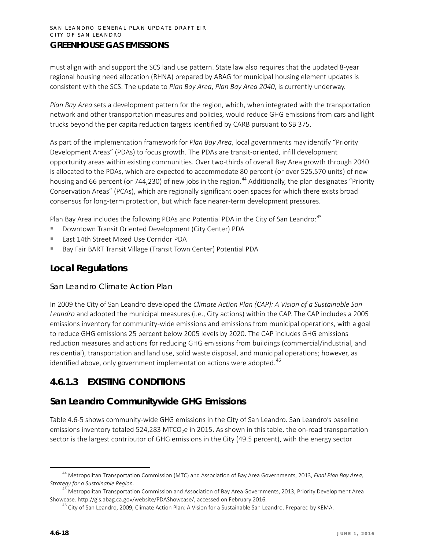must align with and support the SCS land use pattern. State law also requires that the updated 8-year regional housing need allocation (RHNA) prepared by ABAG for municipal housing element updates is consistent with the SCS. The update to *Plan Bay Area*, *Plan Bay Area 2040*, is currently underway.

*Plan Bay Area* sets a development pattern for the region, which, when integrated with the transportation network and other transportation measures and policies, would reduce GHG emissions from cars and light trucks beyond the per capita reduction targets identified by CARB pursuant to SB 375.

As part of the implementation framework for *Plan Bay Area*, local governments may identify "Priority Development Areas" (PDAs) to focus growth. The PDAs are transit-oriented, infill development opportunity areas within existing communities. Over two-thirds of overall Bay Area growth through 2040 is allocated to the PDAs, which are expected to accommodate 80 percent (or over 525,570 units) of new housing and 66 percent (or 7[44](#page-17-0),230) of new jobs in the region.<sup>44</sup> Additionally, the plan designates "Priority Conservation Areas" (PCAs), which are regionally significant open spaces for which there exists broad consensus for long-term protection, but which face nearer-term development pressures.

Plan Bay Area includes the following PDAs and Potential PDA in the City of San Leandro:<sup>[45](#page-17-1)</sup>

- Downtown Transit Oriented Development (City Center) PDA
- East 14th Street Mixed Use Corridor PDA
- Bay Fair BART Transit Village (Transit Town Center) Potential PDA

# **Local Regulations**

#### *San Leandro Climate Action Plan*

In 2009 the City of San Leandro developed the *Climate Action Plan (CAP): A Vision of a Sustainable San Leandro* and adopted the municipal measures (i.e., City actions) within the CAP. The CAP includes a 2005 emissions inventory for community-wide emissions and emissions from municipal operations, with a goal to reduce GHG emissions 25 percent below 2005 levels by 2020. The CAP includes GHG emissions reduction measures and actions for reducing GHG emissions from buildings (commercial/industrial, and residential), transportation and land use, solid waste disposal, and municipal operations; however, as identified above, only government implementation actions were adopted.<sup>[46](#page-17-2)</sup>

# **4.6.1.3 EXISTING CONDITIONS**

# **San Leandro Communitywide GHG Emissions**

Table 4.6-5 shows community-wide GHG emissions in the City of San Leandro. San Leandro's baseline emissions inventory totaled 524,283 MTCO<sub>2</sub>e in 2015. As shown in this table, the on-road transportation sector is the largest contributor of GHG emissions in the City (49.5 percent), with the energy sector

<span id="page-17-0"></span> <sup>44</sup> Metropolitan Transportation Commission (MTC) and Association of Bay Area Governments, 2013, *Final Plan Bay Area, Strategy for a Sustainable Region.*

<span id="page-17-2"></span><span id="page-17-1"></span><sup>&</sup>lt;sup>45</sup> Metropolitan Transportation Commission and Association of Bay Area Governments, 2013, Priority Development Area Showcase. http://gis.abag.ca.gov/website/PDAShowcase/, accessed on February 2016.<br><sup>46</sup> City of San Leandro, 2009, Climate Action Plan: A Vision for a Sustainable San Leandro. Prepared by KEMA.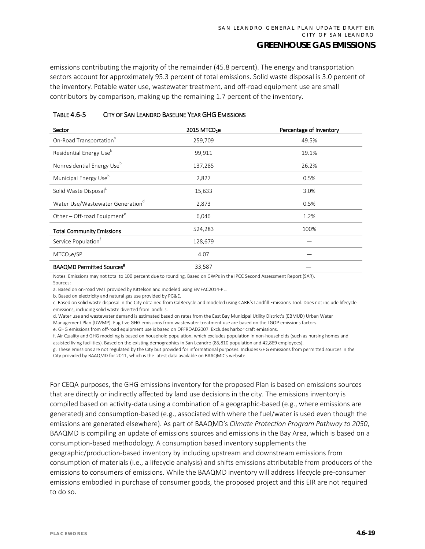emissions contributing the majority of the remainder (45.8 percent). The energy and transportation sectors account for approximately 95.3 percent of total emissions. Solid waste disposal is 3.0 percent of the inventory. Potable water use, wastewater treatment, and off-road equipment use are small contributors by comparison, making up the remaining 1.7 percent of the inventory.

| IABLE 4.6-5<br>CITY OF SAN LEANDRO BASELINE YEAR GHG EMISSIONS |  |                          |                         |
|----------------------------------------------------------------|--|--------------------------|-------------------------|
| Sector                                                         |  | 2015 MTCO <sub>2</sub> e | Percentage of Inventory |
| On-Road Transportation <sup>®</sup>                            |  | 259.709                  | 49.5%                   |
| Residential Energy Use <sup>b</sup>                            |  | 99.911                   | 19.1%                   |

Nonresidential Energy Use<sup>b</sup> 137,285 26.2% Municipal Energy Use<sup>b</sup> 2,827 0.5% 0.5% Solid Waste Disposal<sup>c</sup> and the second 15,633 3.0% 3.0% Water Use/Wastewater Generation<sup>d</sup> 2,873  $\qquad 2.873$  0.5% Other – Off-road Equipment<sup>e</sup> 6,046 1.2% 6,046 Total Community Emissions 624,283 100%

#### TABLE 4.6-5 CITY OF SAN LEANDRO BASELINE YEAR GHG EMISSIONS

 $33,587$  — Notes: Emissions may not total to 100 percent due to rounding. Based on GWPs in the IPCC Second Assessment Report (SAR). Sources:

 $MTCO_2$ e/SP  $\qquad \qquad \qquad 4.07$ 

a. Based on on-road VMT provided by Kittelson and modeled using EMFAC2014-PL.

Service Population<sup>t</sup> and 128,679

b. Based on electricity and natural gas use provided by PG&E.

BAAQMD Permitted Sources<sup>g</sup>

c. Based on solid waste disposal in the City obtained from CalRecycle and modeled using CARB's Landfill Emissions Tool. Does not include lifecycle emissions, including solid waste diverted from landfills.

d. Water use and wastewater demand is estimated based on rates from the East Bay Municipal Utility District's (EBMUD) Urban Water

Management Plan (UWMP). Fugitive GHG emissions from wastewater treatment use are based on the LGOP emissions factors.

e. GHG emissions from off-road equipment use is based on OFFROAD2007. Excludes harbor craft emissions.

f. Air Quality and GHG modeling is based on household population, which excludes population in non-households (such as nursing homes and

assisted living facilities). Based on the existing demographics in San Leandro (85,810 population and 42,869 employees).

g. These emissions are not regulated by the City but provided for informational purposes. Includes GHG emissions from permitted sources in the City provided by BAAQMD for 2011, which is the latest data available on BAAQMD's website.

For CEQA purposes, the GHG emissions inventory for the proposed Plan is based on emissions sources that are directly or indirectly affected by land use decisions in the city. The emissions inventory is compiled based on activity-data using a combination of a geographic-based (e.g., where emissions are generated) and consumption-based (e.g., associated with where the fuel/water is used even though the emissions are generated elsewhere). As part of BAAQMD's *Climate Protection Program Pathway to 2050*, BAAQMD is compiling an update of emissions sources and emissions in the Bay Area, which is based on a consumption-based methodology. A consumption based inventory supplements the

geographic/production-based inventory by including upstream and downstream emissions from consumption of materials (i.e., a lifecycle analysis) and shifts emissions attributable from producers of the emissions to consumers of emissions. While the BAAQMD inventory will address lifecycle pre-consumer emissions embodied in purchase of consumer goods, the proposed project and this EIR are not required to do so.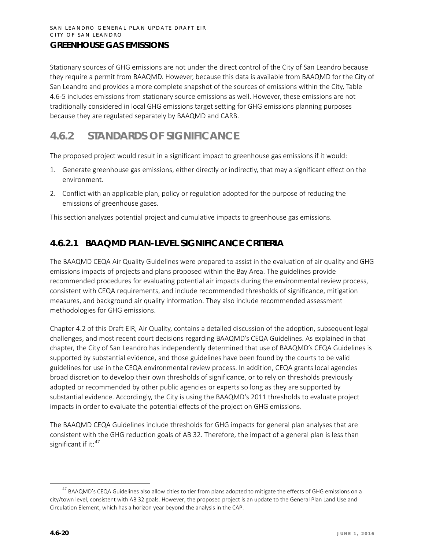Stationary sources of GHG emissions are not under the direct control of the City of San Leandro because they require a permit from BAAQMD. However, because this data is available from BAAQMD for the City of San Leandro and provides a more complete snapshot of the sources of emissions within the City, Table 4.6-5 includes emissions from stationary source emissions as well. However, these emissions are not traditionally considered in local GHG emissions target setting for GHG emissions planning purposes because they are regulated separately by BAAQMD and CARB.

# **4.6.2 STANDARDS OF SIGNIFICANCE**

The proposed project would result in a significant impact to greenhouse gas emissions if it would:

- 1. Generate greenhouse gas emissions, either directly or indirectly, that may a significant effect on the environment.
- 2. Conflict with an applicable plan, policy or regulation adopted for the purpose of reducing the emissions of greenhouse gases.

This section analyzes potential project and cumulative impacts to greenhouse gas emissions.

# **4.6.2.1 BAAQMD PLAN-LEVEL SIGNIFICANCE CRITERIA**

The BAAQMD CEQA Air Quality Guidelines were prepared to assist in the evaluation of air quality and GHG emissions impacts of projects and plans proposed within the Bay Area. The guidelines provide recommended procedures for evaluating potential air impacts during the environmental review process, consistent with CEQA requirements, and include recommended thresholds of significance, mitigation measures, and background air quality information. They also include recommended assessment methodologies for GHG emissions.

Chapter 4.2 of this Draft EIR, Air Quality, contains a detailed discussion of the adoption, subsequent legal challenges, and most recent court decisions regarding BAAQMD's CEQA Guidelines. As explained in that chapter, the City of San Leandro has independently determined that use of BAAQMD's CEQA Guidelines is supported by substantial evidence, and those guidelines have been found by the courts to be valid guidelines for use in the CEQA environmental review process. In addition, CEQA grants local agencies broad discretion to develop their own thresholds of significance, or to rely on thresholds previously adopted or recommended by other public agencies or experts so long as they are supported by substantial evidence. Accordingly, the City is using the BAAQMD's 2011 thresholds to evaluate project impacts in order to evaluate the potential effects of the project on GHG emissions.

The BAAQMD CEQA Guidelines include thresholds for GHG impacts for general plan analyses that are consistent with the GHG reduction goals of AB 32. Therefore, the impact of a general plan is less than significant if it: $47$ 

<span id="page-19-0"></span><sup>&</sup>lt;sup>47</sup> BAAQMD's CEQA Guidelines also allow cities to tier from plans adopted to mitigate the effects of GHG emissions on a city/town level, consistent with AB 32 goals. However, the proposed project is an update to the General Plan Land Use and Circulation Element, which has a horizon year beyond the analysis in the CAP.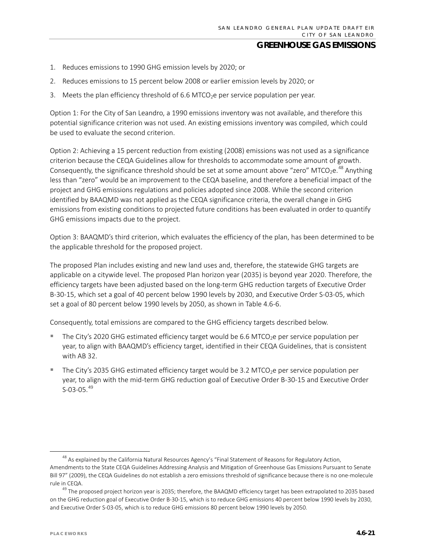- 1. Reduces emissions to 1990 GHG emission levels by 2020; or
- 2. Reduces emissions to 15 percent below 2008 or earlier emission levels by 2020; or
- 3. Meets the plan efficiency threshold of 6.6 MTCO<sub>2</sub>e per service population per year.

Option 1: For the City of San Leandro, a 1990 emissions inventory was not available, and therefore this potential significance criterion was not used. An existing emissions inventory was compiled, which could be used to evaluate the second criterion.

Option 2: Achieving a 15 percent reduction from existing (2008) emissions was not used as a significance criterion because the CEQA Guidelines allow for thresholds to accommodate some amount of growth. Consequently, the significance threshold should be set at some amount above "zero" MTCO<sub>2</sub>e.<sup>[48](#page-20-0)</sup> Anything less than "zero" would be an improvement to the CEQA baseline, and therefore a beneficial impact of the project and GHG emissions regulations and policies adopted since 2008. While the second criterion identified by BAAQMD was not applied as the CEQA significance criteria, the overall change in GHG emissions from existing conditions to projected future conditions has been evaluated in order to quantify GHG emissions impacts due to the project.

Option 3: BAAQMD's third criterion, which evaluates the efficiency of the plan, has been determined to be the applicable threshold for the proposed project.

The proposed Plan includes existing and new land uses and, therefore, the statewide GHG targets are applicable on a citywide level. The proposed Plan horizon year (2035) is beyond year 2020. Therefore, the efficiency targets have been adjusted based on the long-term GHG reduction targets of Executive Order B-30-15, which set a goal of 40 percent below 1990 levels by 2030, and Executive Order S-03-05, which set a goal of 80 percent below 1990 levels by 2050, as shown in Table 4.6-6.

Consequently, total emissions are compared to the GHG efficiency targets described below.

- The City's 2020 GHG estimated efficiency target would be 6.6 MTCO<sub>2</sub>e per service population per year, to align with BAAQMD's efficiency target, identified in their CEQA Guidelines, that is consistent with AB 32.
- The City's 2035 GHG estimated efficiency target would be 3.2 MTCO<sub>2</sub>e per service population per year, to align with the mid-term GHG reduction goal of Executive Order B-30-15 and Executive Order  $S-03-05.<sup>49</sup>$  $S-03-05.<sup>49</sup>$  $S-03-05.<sup>49</sup>$

<span id="page-20-0"></span><sup>&</sup>lt;sup>48</sup> As explained by the California Natural Resources Agency's "Final Statement of Reasons for Regulatory Action, Amendments to the State CEQA Guidelines Addressing Analysis and Mitigation of Greenhouse Gas Emissions Pursuant to Senate Bill 97" (2009), the CEQA Guidelines do not establish a zero emissions threshold of significance because there is no one-molecule rule in CEQA.

<span id="page-20-1"></span><sup>&</sup>lt;sup>49</sup> The proposed project horizon year is 2035; therefore, the BAAQMD efficiency target has been extrapolated to 2035 based on the GHG reduction goal of Executive Order B-30-15, which is to reduce GHG emissions 40 percent below 1990 levels by 2030, and Executive Order S-03-05, which is to reduce GHG emissions 80 percent below 1990 levels by 2050.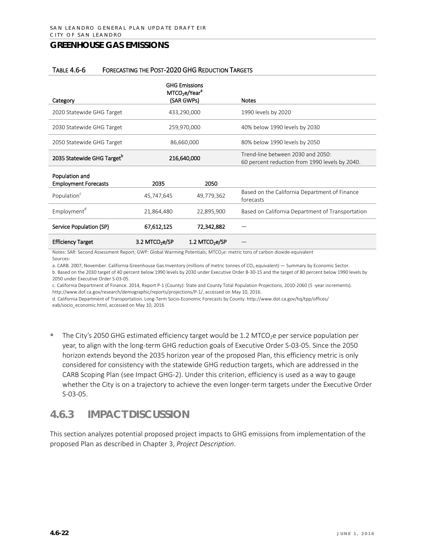#### TABLE 4.6-6 FORECASTING THE POST-2020 GHG REDUCTION TARGETS

|                                               | MTCO <sub>2</sub> e/Year <sup>a</sup> | <b>GHG Emissions</b> |                                                                                     |
|-----------------------------------------------|---------------------------------------|----------------------|-------------------------------------------------------------------------------------|
| Category                                      |                                       | (SAR GWPs)           | <b>Notes</b>                                                                        |
| 2020 Statewide GHG Target                     |                                       | 433,290,000          | 1990 levels by 2020                                                                 |
| 2030 Statewide GHG Target                     | 259,970,000                           |                      | 40% below 1990 levels by 2030                                                       |
| 2050 Statewide GHG Target                     | 86,660,000                            |                      | 80% below 1990 levels by 2050                                                       |
| 2035 Statewide GHG Target <sup>b</sup>        | 216,640,000                           |                      | Trend-line between 2030 and 2050:<br>60 percent reduction from 1990 levels by 2040. |
| Population and<br><b>Employment Forecasts</b> | 2035                                  | 2050                 |                                                                                     |
| Population <sup>c</sup>                       | 45,747,645                            | 49,779,362           | Based on the California Department of Finance<br>forecasts                          |
| Employment <sup>d</sup>                       | 21,864,480                            | 22,895,900           | Based on California Department of Transportation                                    |
| Service Population (SP)                       | 67,612,125                            | 72,342,882           |                                                                                     |

Notes: SAR: Second Assessment Report; GWP: Global Warming Potentials; MTCO<sub>2</sub>e: metric tons of carbon dioxide-equivalent Sources:

Efficiency Target  $3.2$  MTCO<sub>2</sub>e/SP  $1.2$  MTCO<sub>2</sub>e/SP

a. CARB. 2007, November. California Greenhouse Gas Inventory (millions of metric tonnes of CO<sub>2</sub> equivalent) — Summary by Economic Sector.

b. Based on the 2030 target of 40 percent below 1990 levels by 2030 under Executive Order B-30-15 and the target of 80 percent below 1990 levels by 2050 under Executive Order S-03-05.

c. California Department of Finance. 2014, Report P-1 (County): State and County Total Population Projections, 2010-2060 (5 -year increments). [http://www.dof.ca.gov/research/demographic/reports/projections/P-1/,](http://www.dof.ca.gov/research/demographic/reports/projections/P-1/) accessed on May 10, 2016.

d. California Department of Transportation. Long-Term Socio-Economic Forecasts by County. http://www.dot.ca.gov/hq/tpp/offices/ eab/socio\_economic.html, accessed on May 10, 2016

The City's 2050 GHG estimated efficiency target would be 1.2 MTCO<sub>2</sub>e per service population per year, to align with the long-term GHG reduction goals of Executive Order S-03-05. Since the 2050 horizon extends beyond the 2035 horizon year of the proposed Plan, this efficiency metric is only considered for consistency with the statewide GHG reduction targets, which are addressed in the CARB Scoping Plan (see Impact GHG-2). Under this criterion, efficiency is used as a way to gauge whether the City is on a trajectory to achieve the even longer-term targets under the Executive Order S-03-05.

# **4.6.3 IMPACT DISCUSSION**

This section analyzes potential proposed project impacts to GHG emissions from implementation of the proposed Plan as described in Chapter 3, *Project Description*.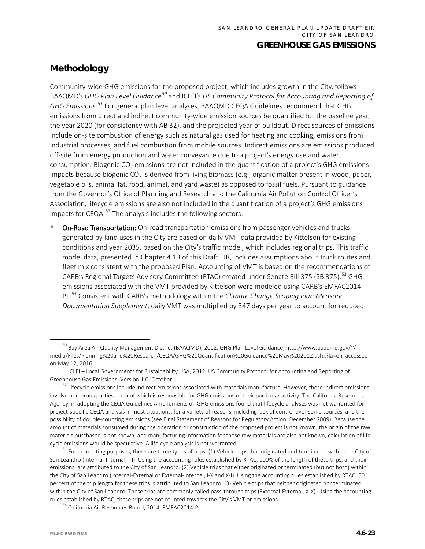# **Methodology**

Community-wide GHG emissions for the proposed project, which includes growth in the City, follows BAAQMD's *GHG Plan Level Guidance[50](#page-22-0)* and ICLEI's *US Community Protocol for Accounting and Reporting of GHG Emissions. [51](#page-22-1)* For general plan level analyses, BAAQMD CEQA Guidelines recommend that GHG emissions from direct and indirect community-wide emission sources be quantified for the baseline year, the year 2020 (for consistency with AB 32), and the projected year of buildout. Direct sources of emissions include on-site combustion of energy such as natural gas used for heating and cooking, emissions from industrial processes, and fuel combustion from mobile sources. Indirect emissions are emissions produced off-site from energy production and water conveyance due to a project's energy use and water consumption. Biogenic  $CO<sub>2</sub>$  emissions are not included in the quantification of a project's GHG emissions impacts because biogenic  $CO<sub>2</sub>$  is derived from living biomass (e.g., organic matter present in wood, paper, vegetable oils, animal fat, food, animal, and yard waste) as opposed to fossil fuels. Pursuant to guidance from the Governor's Office of Planning and Research and the California Air Pollution Control Officer's Association, lifecycle emissions are also not included in the quantification of a project's GHG emissions impacts for CEQA. $^{52}$  $^{52}$  $^{52}$  The analysis includes the following sectors:

 On-Road Transportation: On-road transportation emissions from passenger vehicles and trucks generated by land uses in the City are based on daily VMT data provided by Kittelson for existing conditions and year 2035, based on the City's traffic model, which includes regional trips. This traffic model data, presented in Chapter 4.13 of this Draft EIR, includes assumptions about truck routes and fleet mix consistent with the proposed Plan. Accounting of VMT is based on the recommendations of CARB's Regional Targets Advisory Committee (RTAC) created under Senate Bill 375 (SB 375).<sup>[53](#page-22-3)</sup> GHG emissions associated with the VMT provided by Kittelson were modeled using CARB's EMFAC2014- PL.[54](#page-22-4) Consistent with CARB's methodology within the *Climate Change Scoping Plan Measure Documentation Supplement*, daily VMT was multiplied by 347 days per year to account for reduced

<span id="page-22-4"></span><sup>54</sup> California Air Resources Board, 2014, EMFAC2014-PL.

<span id="page-22-0"></span> <sup>50</sup> Bay Area Air Quality Management District (BAAQMD), 2012, GHG Plan Level Guidance, http://www.baaqmd.gov/~/ media/Files/Planning%20and%20Research/CEQA/GHG%20Quantification%20Guidance%20May%202012.ashx?la=en, accessed on May 12, 2016.

<span id="page-22-1"></span><sup>51</sup> ICLEI – Local Governments for Sustainability USA, 2012, US Community Protocol for Accounting and Reporting of Greenhouse Gas Emissions. Version 1.0, October.

<span id="page-22-2"></span> $52$  Lifecycle emissions include indirect emissions associated with materials manufacture. However, these indirect emissions involve numerous parties, each of which is responsible for GHG emissions of their particular activity. The California Resources Agency, in adopting the CEQA Guidelines Amendments on GHG emissions found that lifecycle analyses was not warranted for project-specific CEQA analysis in most situations, for a variety of reasons, including lack of control over some sources, and the possibility of double-counting emissions (see Final Statement of Reasons for Regulatory Action, December 2009). Because the amount of materials consumed during the operation or construction of the proposed project is not known, the origin of the raw materials purchased is not known, and manufacturing information for those raw materials are also not known, calculation of life cycle emissions would be speculative. A life-cycle analysis is not warranted.

<span id="page-22-3"></span> $53$  For accounting purposes, there are three types of trips: (1) Vehicle trips that originated and terminated within the City of San Leandro (Internal-Internal, I-I). Using the accounting rules established by RTAC, 100% of the length of these trips, and their emissions, are attributed to the City of San Leandro. (2) Vehicle trips that either originated or terminated (but not both) within the City of San Leandro (Internal-External or External-Internal, I-X and X-I). Using the accounting rules established by RTAC, 50 percent of the trip length for these trips is attributed to San Leandro. (3) Vehicle trips that neither originated nor terminated within the City of San Leandro. These trips are commonly called pass-through trips (External-External, X-X). Using the accounting rules established by RTAC, these trips are not counted towards the City's VMT or emissions.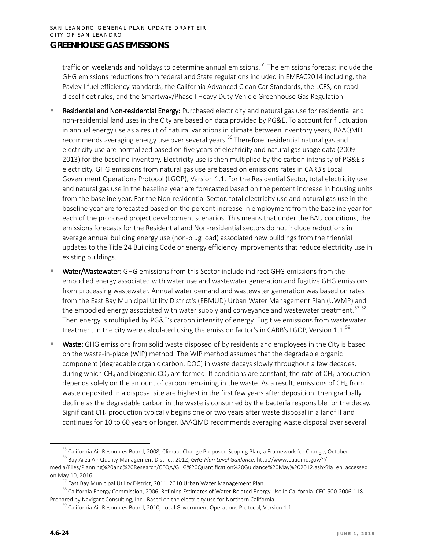traffic on weekends and holidays to determine annual emissions.<sup>[55](#page-23-0)</sup> The emissions forecast include the GHG emissions reductions from federal and State regulations included in EMFAC2014 including, the Pavley I fuel efficiency standards, the California Advanced Clean Car Standards, the LCFS, on-road diesel fleet rules, and the Smartway/Phase I Heavy Duty Vehicle Greenhouse Gas Regulation.

- Residential and Non-residential Energy: Purchased electricity and natural gas use for residential and non-residential land uses in the City are based on data provided by PG&E. To account for fluctuation in annual energy use as a result of natural variations in climate between inventory years, BAAQMD recommends averaging energy use over several years.<sup>[56](#page-23-1)</sup> Therefore, residential natural gas and electricity use are normalized based on five years of electricity and natural gas usage data (2009- 2013) for the baseline inventory. Electricity use is then multiplied by the carbon intensity of PG&E's electricity. GHG emissions from natural gas use are based on emissions rates in CARB's Local Government Operations Protocol (LGOP), Version 1.1. For the Residential Sector, total electricity use and natural gas use in the baseline year are forecasted based on the percent increase in housing units from the baseline year. For the Non-residential Sector, total electricity use and natural gas use in the baseline year are forecasted based on the percent increase in employment from the baseline year for each of the proposed project development scenarios. This means that under the BAU conditions, the emissions forecasts for the Residential and Non-residential sectors do not include reductions in average annual building energy use (non-plug load) associated new buildings from the triennial updates to the Title 24 Building Code or energy efficiency improvements that reduce electricity use in existing buildings.
- Water/Wastewater: GHG emissions from this Sector include indirect GHG emissions from the embodied energy associated with water use and wastewater generation and fugitive GHG emissions from processing wastewater. Annual water demand and wastewater generation was based on rates from the East Bay Municipal Utility District's (EBMUD) Urban Water Management Plan (UWMP) and the embodied energy associated with water supply and conveyance and wastewater treatment.<sup>[57](#page-23-2)</sup> [58](#page-23-3) Then energy is multiplied by PG&E's carbon intensity of energy. Fugitive emissions from wastewater treatment in the city were calculated using the emission factor's in CARB's LGOP, Version 1.1.<sup>[59](#page-23-4)</sup>
- Waste: GHG emissions from solid waste disposed of by residents and employees in the City is based on the waste-in-place (WIP) method. The WIP method assumes that the degradable organic component (degradable organic carbon, DOC) in waste decays slowly throughout a few decades, during which CH<sub>4</sub> and biogenic CO<sub>2</sub> are formed. If conditions are constant, the rate of CH<sub>4</sub> production depends solely on the amount of carbon remaining in the waste. As a result, emissions of CH<sub>4</sub> from waste deposited in a disposal site are highest in the first few years after deposition, then gradually decline as the degradable carbon in the waste is consumed by the bacteria responsible for the decay. Significant CH<sub>4</sub> production typically begins one or two years after waste disposal in a landfill and continues for 10 to 60 years or longer. BAAQMD recommends averaging waste disposal over several

<sup>&</sup>lt;sup>55</sup> California Air Resources Board, 2008, Climate Change Proposed Scoping Plan, a Framework for Change, October. <sup>56</sup> Bay Area Air Quality Management District, 2012, *GHG Plan Level Guidance,* http://www.baaqmd.gov/~/

<span id="page-23-1"></span><span id="page-23-0"></span>media/Files/Planning%20and%20Research/CEQA/GHG%20Quantification%20Guidance%20May%202012.ashx?la=en, accessed on May 10, 2016.

 $57$  East Bay Municipal Utility District, 2011, 2010 Urban Water Management Plan.

<span id="page-23-2"></span><sup>&</sup>lt;sup>58</sup> California Energy Commission, 2006, Refining Estimates of Water-Related Energy Use in California. CEC-500-2006-118.

<span id="page-23-4"></span><span id="page-23-3"></span>Prepared by Navigant Consulting, Inc.. Based on the electricity use for Northern California.<br><sup>59</sup> California Air Resources Board, 2010, Local Government Operations Protocol, Version 1.1.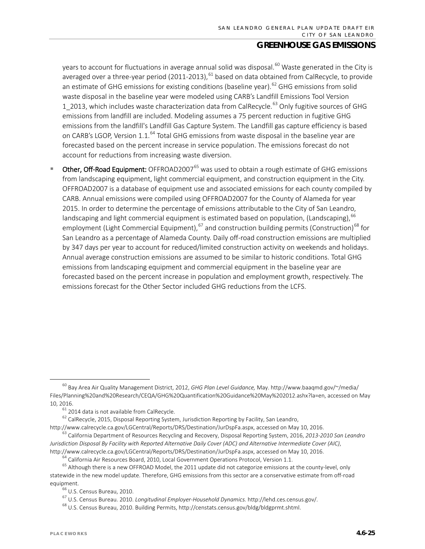years to account for fluctuations in average annual solid was disposal.<sup>[60](#page-24-0)</sup> Waste generated in the City is averaged over a three-year period (2011-2013),  $61$  based on data obtained from CalRecycle, to provide an estimate of GHG emissions for existing conditions (baseline year).<sup>[62](#page-24-2)</sup> GHG emissions from solid waste disposal in the baseline year were modeled using CARB's Landfill Emissions Tool Version 1 2013, which includes waste characterization data from CalRecycle.<sup>[63](#page-24-3)</sup> Only fugitive sources of GHG emissions from landfill are included. Modeling assumes a 75 percent reduction in fugitive GHG emissions from the landfill's Landfill Gas Capture System. The Landfill gas capture efficiency is based on CARB's LGOP, Version 1.1.<sup>[64](#page-24-4)</sup> Total GHG emissions from waste disposal in the baseline year are forecasted based on the percent increase in service population. The emissions forecast do not account for reductions from increasing waste diversion.

Other, Off-Road Equipment: OFFROAD2007<sup>[65](#page-24-5)</sup> was used to obtain a rough estimate of GHG emissions from landscaping equipment, light commercial equipment, and construction equipment in the City. OFFROAD2007 is a database of equipment use and associated emissions for each county compiled by CARB. Annual emissions were compiled using OFFROAD2007 for the County of Alameda for year 2015. In order to determine the percentage of emissions attributable to the City of San Leandro, landscaping and light commercial equipment is estimated based on population, (Landscaping),  $^{66}$  $^{66}$  $^{66}$ employment (Light Commercial Equipment), <sup>[67](#page-24-7)</sup> and construction building permits (Construction)<sup>[68](#page-24-8)</sup> for San Leandro as a percentage of Alameda County. Daily off-road construction emissions are multiplied by 347 days per year to account for reduced/limited construction activity on weekends and holidays. Annual average construction emissions are assumed to be similar to historic conditions. Total GHG emissions from landscaping equipment and commercial equipment in the baseline year are forecasted based on the percent increase in population and employment growth, respectively. The emissions forecast for the Other Sector included GHG reductions from the LCFS.

<span id="page-24-0"></span> <sup>60</sup> Bay Area Air Quality Management District, 2012, *GHG Plan Level Guidance,* May. http://www.baaqmd.gov/~/media/ Files/Planning%20and%20Research/CEQA/GHG%20Quantification%20Guidance%20May%202012.ashx?la=en, accessed on May 10, 2016.

 $61$  2014 data is not available from CalRecycle.<br> $62$  CalRecycle, 2015, Disposal Reporting System, Jurisdiction Reporting by Facility, San Leandro,

<span id="page-24-2"></span><span id="page-24-1"></span>[http://www.calrecycle.ca.gov/LGCentral/Reports/DRS/Destination/JurDspFa.aspx,](http://www.calrecycle.ca.gov/LGCentral/Reports/DRS/Destination/JurDspFa.aspx) accessed on May 10, 2016.

<span id="page-24-3"></span><sup>63</sup> California Department of Resources Recycling and Recovery, Disposal Reporting System, 2016, *2013-2010 San Leandro Jurisdiction Disposal By Facility with Reported Alternative Daily Cover (ADC) and Alternative Intermediate Cover (AIC)*, http://www.calrecycle.ca.gov/LGCentral/Reports/DRS/Destination/JurDspFa.aspx, accessed on May 10, 2016.

 $64$  California Air Resources Board, 2010, Local Government Operations Protocol, Version 1.1.

<span id="page-24-7"></span><span id="page-24-6"></span><span id="page-24-5"></span><span id="page-24-4"></span><sup>&</sup>lt;sup>65</sup> Although there is a new OFFROAD Model, the 2011 update did not categorize emissions at the county-level, only statewide in the new model update. Therefore, GHG emissions from this sector are a conservative estimate from off-road equipment.<br><sup>66</sup> U.S. Census Bureau, 2010.

<sup>67</sup> U.S. Census Bureau. 2010. *Longitudinal Employer-Household Dynamics.* http://lehd.ces.census.gov/.

<span id="page-24-8"></span><sup>68</sup> U.S. Census Bureau, 2010. Building Permits, http://censtats.census.gov/bldg/bldgprmt.shtml.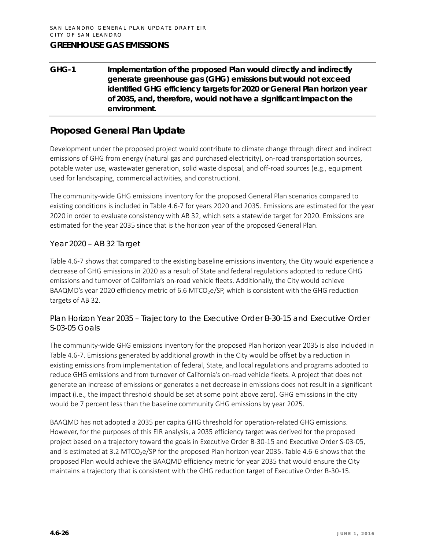**GHG-1 Implementation of the proposed Plan would directly and indirectly generate greenhouse gas (GHG) emissions but would not exceed identified GHG efficiency targets for 2020 or General Plan horizon year of 2035, and, therefore, would not have a significant impact on the environment.**

# **Proposed General Plan Update**

Development under the proposed project would contribute to climate change through direct and indirect emissions of GHG from energy (natural gas and purchased electricity), on-road transportation sources, potable water use, wastewater generation, solid waste disposal, and off-road sources (e.g., equipment used for landscaping, commercial activities, and construction).

The community-wide GHG emissions inventory for the proposed General Plan scenarios compared to existing conditions is included in Table 4.6-7 for years 2020 and 2035. Emissions are estimated for the year 2020 in order to evaluate consistency with AB 32, which sets a statewide target for 2020. Emissions are estimated for the year 2035 since that is the horizon year of the proposed General Plan.

#### *Year 2020 – AB 32 Target*

Table 4.6-7 shows that compared to the existing baseline emissions inventory, the City would experience a decrease of GHG emissions in 2020 as a result of State and federal regulations adopted to reduce GHG emissions and turnover of California's on-road vehicle fleets. Additionally, the City would achieve BAAQMD's year 2020 efficiency metric of 6.6 MTCO<sub>2</sub>e/SP, which is consistent with the GHG reduction targets of AB 32.

*Plan Horizon Year 2035 – Trajectory to the Executive Order B-30-15 and Executive Order S-03-05 Goals*

The community-wide GHG emissions inventory for the proposed Plan horizon year 2035 is also included in Table 4.6-7. Emissions generated by additional growth in the City would be offset by a reduction in existing emissions from implementation of federal, State, and local regulations and programs adopted to reduce GHG emissions and from turnover of California's on-road vehicle fleets. A project that does not generate an increase of emissions or generates a net decrease in emissions does not result in a significant impact (i.e., the impact threshold should be set at some point above zero). GHG emissions in the city would be 7 percent less than the baseline community GHG emissions by year 2025.

BAAQMD has not adopted a 2035 per capita GHG threshold for operation-related GHG emissions. However, for the purposes of this EIR analysis, a 2035 efficiency target was derived for the proposed project based on a trajectory toward the goals in Executive Order B-30-15 and Executive Order S-03-05, and is estimated at 3.2 MTCO<sub>2</sub>e/SP for the proposed Plan horizon year 2035. Table 4.6-6 shows that the proposed Plan would achieve the BAAQMD efficiency metric for year 2035 that would ensure the City maintains a trajectory that is consistent with the GHG reduction target of Executive Order B-30-15.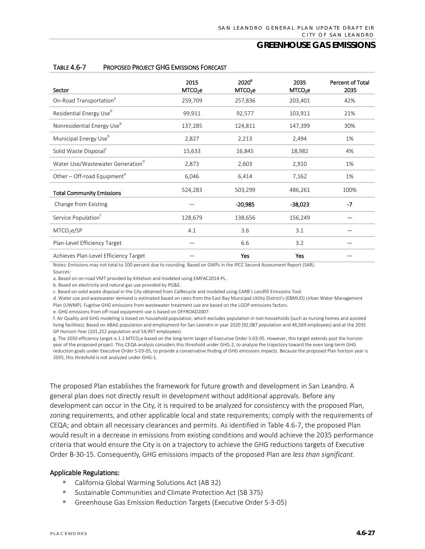| Sector                                       | 2015<br>MTCO <sub>2</sub> e | 2020 <sup>a</sup><br>MTCO <sub>2</sub> e | 2035<br>MTCO <sub>2</sub> e | Percent of Total<br>2035 |
|----------------------------------------------|-----------------------------|------------------------------------------|-----------------------------|--------------------------|
| On-Road Transportation <sup>ª</sup>          | 259,709                     | 257,836                                  | 203,401                     | 42%                      |
| Residential Energy Use <sup>b</sup>          | 99,911                      | 92,577                                   | 103,911                     | 21%                      |
| Nonresidential Energy Use <sup>b</sup>       | 137,285                     | 124,811                                  | 147,399                     | 30%                      |
| Municipal Energy Use <sup>b</sup>            | 2,827                       | 2,213                                    | 2,494                       | 1%                       |
| Solid Waste Disposal <sup>c</sup>            | 15,633                      | 16,845                                   | 18,982                      | 4%                       |
| Water Use/Wastewater Generation <sup>d</sup> | 2,873                       | 2,603                                    | 2,910                       | 1%                       |
| Other - Off-road Equipment <sup>e</sup>      | 6,046                       | 6,414                                    | 7,162                       | 1%                       |
| <b>Total Community Emissions</b>             | 524,283                     | 503,299                                  | 486,261                     | 100%                     |
| Change from Existing                         |                             | $-20,985$                                | -38,023                     | $-7$                     |
| Service Population <sup>†</sup>              | 128,679                     | 138,656                                  | 156,249                     |                          |
| MTCO <sub>2</sub> e/SP                       | 4.1                         | 3.6                                      | 3.1                         |                          |
| Plan-Level Efficiency Target                 |                             | 6.6                                      | 3.2                         |                          |
| Achieves Plan-Level Efficiency Target        |                             | Yes                                      | Yes                         |                          |

#### TABLE 4.6-7 PROPOSED PROJECT GHG EMISSIONS FORECAST

Notes: Emissions may not total to 100 percent due to rounding. Based on GWPs in the IPCC Second Assessment Report (SAR). Sources:

a. Based on on-road VMT provided by Kittelson and modeled using EMFAC2014-PL.

b. Based on electricity and natural gas use provided by PG&E.

c. Based on solid waste disposal in the City obtained from CalRecycle and modeled using CARB's Landfill Emissions Tool.

d. Water use and wastewater demand is estimated based on rates from the East Bay Municipal Utility District's (EBMUD) Urban Water Management Plan (UWMP). Fugitive GHG emissions from wastewater treatment use are based on the LGOP emissions factors.

e. GHG emissions from off-road equipment use is based on OFFROAD2007.

f. Air Quality and GHG modeling is based on household population, which excludes population in non-households (such as nursing homes and assisted living facilities). Based on ABAG population and employment for San Leandro in year 2020 (92,087 population and 46,569 employees) and at the 2035 GP Horizon Year (101,252 population and 54,997 employees).

g. The 2050 efficiency target is 1.2 MTCO<sub>2</sub>e based on the long-term target of Executive Order S-03-05. However, this target extends past the horizon year of the proposed project. This CEQA analysis considers this threshold under GHG-2, to analyze the trajectory toward the even long-term GHG reduction goals under Executive Order S-03-05, to provide a conservative finding of GHG emissions impacts. Because the proposed Plan horizon year is 2035, this threshold is not analyzed under GHG-1.

The proposed Plan establishes the framework for future growth and development in San Leandro. A general plan does not directly result in development without additional approvals. Before any development can occur in the City, it is required to be analyzed for consistency with the proposed Plan, zoning requirements, and other applicable local and state requirements; comply with the requirements of CEQA; and obtain all necessary clearances and permits. As identified in Table 4.6-7, the proposed Plan would result in a decrease in emissions from existing conditions and would achieve the 2035 performance criteria that would ensure the City is on a trajectory to achieve the GHG reductions targets of Executive Order B-30-15. Consequently, GHG emissions impacts of the proposed Plan are *less than significant*.

#### Applicable Regulations:

- California Global Warming Solutions Act (AB 32)
- Sustainable Communities and Climate Protection Act (SB 375)
- Greenhouse Gas Emission Reduction Targets (Executive Order S-3-05)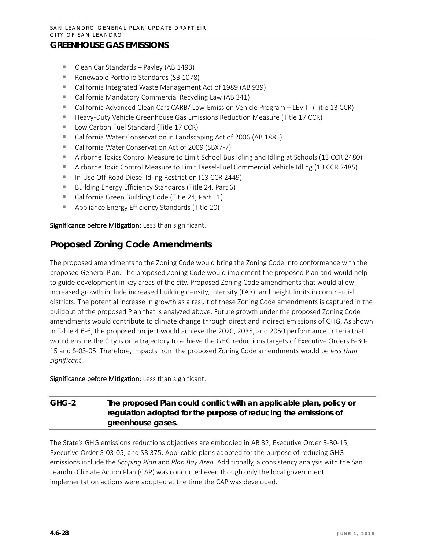- Clean Car Standards Pavley (AB 1493)
- Renewable Portfolio Standards (SB 1078)
- California Integrated Waste Management Act of 1989 (AB 939)
- California Mandatory Commercial Recycling Law (AB 341)
- California Advanced Clean Cars CARB/ Low-Emission Vehicle Program LEV III (Title 13 CCR)
- Heavy-Duty Vehicle Greenhouse Gas Emissions Reduction Measure (Title 17 CCR)
- Low Carbon Fuel Standard (Title 17 CCR)
- California Water Conservation in Landscaping Act of 2006 (AB 1881)
- California Water Conservation Act of 2009 (SBX7-7)
- Airborne Toxics Control Measure to Limit School Bus Idling and Idling at Schools (13 CCR 2480)
- Airborne Toxic Control Measure to Limit Diesel-Fuel Commercial Vehicle Idling (13 CCR 2485)
- In-Use Off-Road Diesel Idling Restriction (13 CCR 2449)
- Building Energy Efficiency Standards (Title 24, Part 6)
- California Green Building Code (Title 24, Part 11)
- **Appliance Energy Efficiency Standards (Title 20)**

Significance before Mitigation: Less than significant.

# **Proposed Zoning Code Amendments**

The proposed amendments to the Zoning Code would bring the Zoning Code into conformance with the proposed General Plan. The proposed Zoning Code would implement the proposed Plan and would help to guide development in key areas of the city. Proposed Zoning Code amendments that would allow increased growth include increased building density, intensity (FAR), and height limits in commercial districts. The potential increase in growth as a result of these Zoning Code amendments is captured in the buildout of the proposed Plan that is analyzed above. Future growth under the proposed Zoning Code amendments would contribute to climate change through direct and indirect emissions of GHG. As shown in Table 4.6-6, the proposed project would achieve the 2020, 2035, and 2050 performance criteria that would ensure the City is on a trajectory to achieve the GHG reductions targets of Executive Orders B-30- 15 and S-03-05. Therefore, impacts from the proposed Zoning Code amendments would be *less than significant*.

Significance before Mitigation: Less than significant.

# **GHG-2 The proposed Plan could conflict with an applicable plan, policy or regulation adopted for the purpose of reducing the emissions of greenhouse gases.**

The State's GHG emissions reductions objectives are embodied in AB 32, Executive Order B-30-15, Executive Order S-03-05, and SB 375. Applicable plans adopted for the purpose of reducing GHG emissions include the *Scoping Plan* and *Plan Bay Area*. Additionally, a consistency analysis with the San Leandro Climate Action Plan (CAP) was conducted even though only the local government implementation actions were adopted at the time the CAP was developed.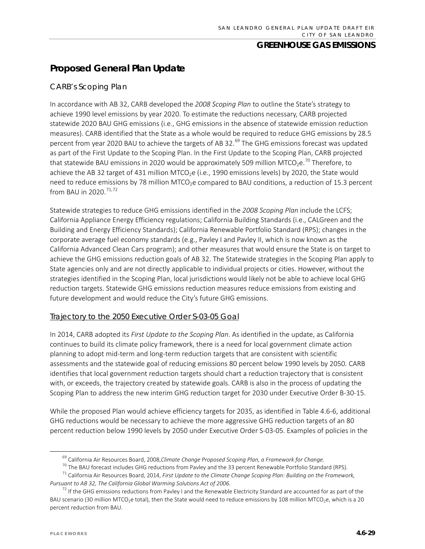# **Proposed General Plan Update**

#### *CARB's Scoping Plan*

In accordance with AB 32, CARB developed the *2008 Scoping Plan* to outline the State's strategy to achieve 1990 level emissions by year 2020. To estimate the reductions necessary, CARB projected statewide 2020 BAU GHG emissions (i.e., GHG emissions in the absence of statewide emission reduction measures). CARB identified that the State as a whole would be required to reduce GHG emissions by 28.5 percent from year 2020 BAU to achieve the targets of AB 32.<sup>[69](#page-28-0)</sup> The GHG emissions forecast was updated as part of the First Update to the Scoping Plan. In the First Update to the Scoping Plan, CARB projected that statewide BAU emissions in 2020 would be approximately 509 million MTCO<sub>2</sub>e.<sup>[70](#page-28-1)</sup> Therefore, to achieve the AB 32 target of 431 million MTCO<sub>2</sub>e (i.e., 1990 emissions levels) by 2020, the State would need to reduce emissions by 78 million MTCO<sub>2</sub>e compared to BAU conditions, a reduction of 15.3 percent from BAU in 2020.<sup>[71](#page-28-2),[72](#page-28-3)</sup>

Statewide strategies to reduce GHG emissions identified in the *2008 Scoping Plan* include the LCFS; California Appliance Energy Efficiency regulations; California Building Standards (i.e., CALGreen and the Building and Energy Efficiency Standards); California Renewable Portfolio Standard (RPS); changes in the corporate average fuel economy standards (e.g., Pavley I and Pavley II, which is now known as the California Advanced Clean Cars program); and other measures that would ensure the State is on target to achieve the GHG emissions reduction goals of AB 32. The Statewide strategies in the Scoping Plan apply to State agencies only and are not directly applicable to individual projects or cities. However, without the strategies identified in the Scoping Plan, local jurisdictions would likely not be able to achieve local GHG reduction targets. Statewide GHG emissions reduction measures reduce emissions from existing and future development and would reduce the City's future GHG emissions.

#### Trajectory to the 2050 Executive Order S-03-05 Goal

In 2014, CARB adopted its *First Update to the Scoping Plan*. As identified in the update, as California continues to build its climate policy framework, there is a need for local government climate action planning to adopt mid-term and long-term reduction targets that are consistent with scientific assessments and the statewide goal of reducing emissions 80 percent below 1990 levels by 2050. CARB identifies that local government reduction targets should chart a reduction trajectory that is consistent with, or exceeds, the trajectory created by statewide goals. CARB is also in the process of updating the Scoping Plan to address the new interim GHG reduction target for 2030 under Executive Order B-30-15.

While the proposed Plan would achieve efficiency targets for 2035, as identified in Table 4.6-6, additional GHG reductions would be necessary to achieve the more aggressive GHG reduction targets of an 80 percent reduction below 1990 levels by 2050 under Executive Order S-03-05. Examples of policies in the

 <sup>69</sup> California Air Resources Board, 2008,*Climate Change Proposed Scoping Plan, a Framework for Change.*

<sup>&</sup>lt;sup>70</sup> The BAU forecast includes GHG reductions from Pavley and the 33 percent Renewable Portfolio Standard (RPS).<br><sup>71</sup> California Air Resources Board, 2014, *First Update to the Climate Change Scoping Plan: Building on the* 

<span id="page-28-2"></span><span id="page-28-1"></span><span id="page-28-0"></span>*Pursuant to AB 32, The California Global Warming Solutions Act of 2006.*

<span id="page-28-3"></span> $^{72}$  If the GHG emissions reductions from Pavley I and the Renewable Electricity Standard are accounted for as part of the BAU scenario (30 million MTCO<sub>2</sub>e total), then the State would need to reduce emissions by 108 million MTCO<sub>2</sub>e, which is a 20 percent reduction from BAU.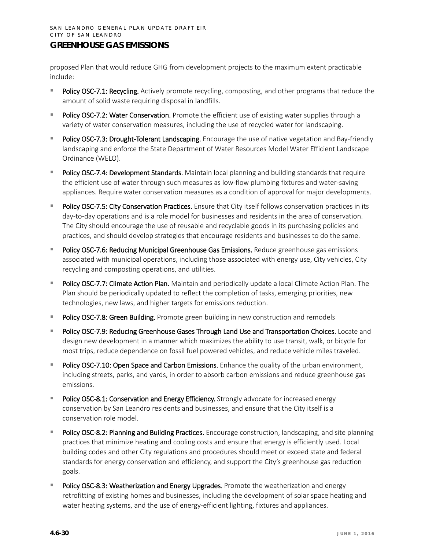proposed Plan that would reduce GHG from development projects to the maximum extent practicable include:

- Policy OSC-7.1: Recycling. Actively promote recycling, composting, and other programs that reduce the amount of solid waste requiring disposal in landfills.
- Policy OSC-7.2: Water Conservation. Promote the efficient use of existing water supplies through a variety of water conservation measures, including the use of recycled water for landscaping.
- Policy OSC-7.3: Drought-Tolerant Landscaping. Encourage the use of native vegetation and Bay-friendly landscaping and enforce the State Department of Water Resources Model Water Efficient Landscape Ordinance (WELO).
- Policy OSC-7.4: Development Standards. Maintain local planning and building standards that require the efficient use of water through such measures as low-flow plumbing fixtures and water-saving appliances. Require water conservation measures as a condition of approval for major developments.
- Policy OSC-7.5: City Conservation Practices. Ensure that City itself follows conservation practices in its day-to-day operations and is a role model for businesses and residents in the area of conservation. The City should encourage the use of reusable and recyclable goods in its purchasing policies and practices, and should develop strategies that encourage residents and businesses to do the same.
- Policy OSC-7.6: Reducing Municipal Greenhouse Gas Emissions. Reduce greenhouse gas emissions associated with municipal operations, including those associated with energy use, City vehicles, City recycling and composting operations, and utilities.
- **Policy OSC-7.7: Climate Action Plan.** Maintain and periodically update a local Climate Action Plan. The Plan should be periodically updated to reflect the completion of tasks, emerging priorities, new technologies, new laws, and higher targets for emissions reduction.
- Policy OSC-7.8: Green Building. Promote green building in new construction and remodels
- **Policy OSC-7.9: Reducing Greenhouse Gases Through Land Use and Transportation Choices.** Locate and design new development in a manner which maximizes the ability to use transit, walk, or bicycle for most trips, reduce dependence on fossil fuel powered vehicles, and reduce vehicle miles traveled.
- Policy OSC-7.10: Open Space and Carbon Emissions. Enhance the quality of the urban environment, including streets, parks, and yards, in order to absorb carbon emissions and reduce greenhouse gas emissions.
- Policy OSC-8.1: Conservation and Energy Efficiency. Strongly advocate for increased energy conservation by San Leandro residents and businesses, and ensure that the City itself is a conservation role model.
- Policy OSC-8.2: Planning and Building Practices. Encourage construction, landscaping, and site planning practices that minimize heating and cooling costs and ensure that energy is efficiently used. Local building codes and other City regulations and procedures should meet or exceed state and federal standards for energy conservation and efficiency, and support the City's greenhouse gas reduction goals.
- Policy OSC-8.3: Weatherization and Energy Upgrades. Promote the weatherization and energy retrofitting of existing homes and businesses, including the development of solar space heating and water heating systems, and the use of energy-efficient lighting, fixtures and appliances.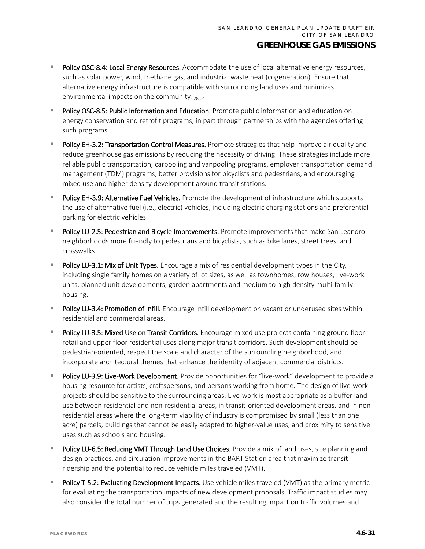- Policy OSC-8.4: Local Energy Resources. Accommodate the use of local alternative energy resources, such as solar power, wind, methane gas, and industrial waste heat (cogeneration). Ensure that alternative energy infrastructure is compatible with surrounding land uses and minimizes environmental impacts on the community.  $_{28.04}$
- Policy OSC-8.5: Public Information and Education. Promote public information and education on energy conservation and retrofit programs, in part through partnerships with the agencies offering such programs.
- Policy EH-3.2: Transportation Control Measures. Promote strategies that help improve air quality and reduce greenhouse gas emissions by reducing the necessity of driving. These strategies include more reliable public transportation, carpooling and vanpooling programs, employer transportation demand management (TDM) programs, better provisions for bicyclists and pedestrians, and encouraging mixed use and higher density development around transit stations.
- Policy EH-3.9: Alternative Fuel Vehicles. Promote the development of infrastructure which supports the use of alternative fuel (i.e., electric) vehicles, including electric charging stations and preferential parking for electric vehicles.
- Policy LU-2.5: Pedestrian and Bicycle Improvements. Promote improvements that make San Leandro neighborhoods more friendly to pedestrians and bicyclists, such as bike lanes, street trees, and crosswalks.
- Policy LU-3.1: Mix of Unit Types. Encourage a mix of residential development types in the City, including single family homes on a variety of lot sizes, as well as townhomes, row houses, live-work units, planned unit developments, garden apartments and medium to high density multi-family housing.
- Policy LU-3.4: Promotion of Infill. Encourage infill development on vacant or underused sites within residential and commercial areas.
- Policy LU-3.5: Mixed Use on Transit Corridors. Encourage mixed use projects containing ground floor retail and upper floor residential uses along major transit corridors. Such development should be pedestrian-oriented, respect the scale and character of the surrounding neighborhood, and incorporate architectural themes that enhance the identity of adjacent commercial districts.
- Policy LU-3.9: Live-Work Development. Provide opportunities for "live-work" development to provide a housing resource for artists, craftspersons, and persons working from home. The design of live-work projects should be sensitive to the surrounding areas. Live-work is most appropriate as a buffer land use between residential and non-residential areas, in transit-oriented development areas, and in nonresidential areas where the long-term viability of industry is compromised by small (less than one acre) parcels, buildings that cannot be easily adapted to higher-value uses, and proximity to sensitive uses such as schools and housing.
- Policy LU-6.5: Reducing VMT Through Land Use Choices. Provide a mix of land uses, site planning and design practices, and circulation improvements in the BART Station area that maximize transit ridership and the potential to reduce vehicle miles traveled (VMT).
- Policy T-5.2: Evaluating Development Impacts. Use vehicle miles traveled (VMT) as the primary metric for evaluating the transportation impacts of new development proposals. Traffic impact studies may also consider the total number of trips generated and the resulting impact on traffic volumes and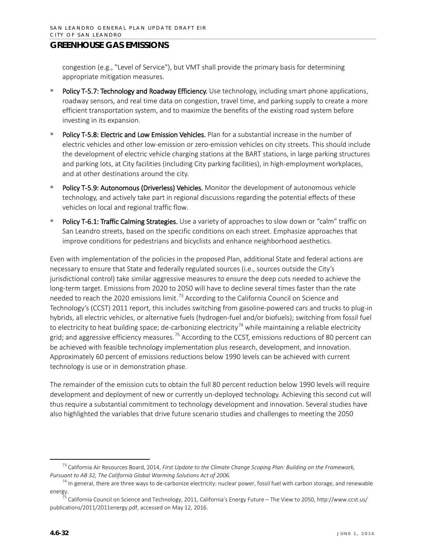congestion (e.g., "Level of Service"), but VMT shall provide the primary basis for determining appropriate mitigation measures.

- Policy T-5.7: Technology and Roadway Efficiency. Use technology, including smart phone applications, roadway sensors, and real time data on congestion, travel time, and parking supply to create a more efficient transportation system, and to maximize the benefits of the existing road system before investing in its expansion.
- Policy T-5.8: Electric and Low Emission Vehicles. Plan for a substantial increase in the number of electric vehicles and other low-emission or zero-emission vehicles on city streets. This should include the development of electric vehicle charging stations at the BART stations, in large parking structures and parking lots, at City facilities (including City parking facilities), in high-employment workplaces, and at other destinations around the city.
- Policy T-5.9: Autonomous (Driverless) Vehicles. Monitor the development of autonomous vehicle technology, and actively take part in regional discussions regarding the potential effects of these vehicles on local and regional traffic flow.
- Policy T-6.1: Traffic Calming Strategies. Use a variety of approaches to slow down or "calm" traffic on San Leandro streets, based on the specific conditions on each street. Emphasize approaches that improve conditions for pedestrians and bicyclists and enhance neighborhood aesthetics.

Even with implementation of the policies in the proposed Plan, additional State and federal actions are necessary to ensure that State and federally regulated sources (i.e., sources outside the City's jurisdictional control) take similar aggressive measures to ensure the deep cuts needed to achieve the long-term target. Emissions from 2020 to 2050 will have to decline several times faster than the rate needed to reach the 2020 emissions limit.<sup>[73](#page-31-0)</sup> According to the California Council on Science and Technology's (CCST) 2011 report, this includes switching from gasoline-powered cars and trucks to plug-in hybrids, all electric vehicles, or alternative fuels (hydrogen-fuel and/or biofuels); switching from fossil fuel to electricity to heat building space; de-carbonizing electricity<sup>[74](#page-31-1)</sup> while maintaining a reliable electricity grid; and aggressive efficiency measures.<sup>[75](#page-31-2)</sup> According to the CCST, emissions reductions of 80 percent can be achieved with feasible technology implementation plus research, development, and innovation. Approximately 60 percent of emissions reductions below 1990 levels can be achieved with current technology is use or in demonstration phase.

The remainder of the emission cuts to obtain the full 80 percent reduction below 1990 levels will require development and deployment of new or currently un-deployed technology. Achieving this second cut will thus require a substantial commitment to technology development and innovation. Several studies have also highlighted the variables that drive future scenario studies and challenges to meeting the 2050

<span id="page-31-0"></span> <sup>73</sup> California Air Resources Board, 2014, *First Update to the Climate Change Scoping Plan: Building on the Framework, Pursuant to AB 32, The California Global Warming Solutions Act of 2006.*

<span id="page-31-1"></span> $74$  In general, there are three ways to de-carbonize electricity: nuclear power, fossil fuel with carbon storage, and renewable energy.

<span id="page-31-2"></span><sup>75</sup> California Council on Science and Technology, 2011, California's Energy Future – The View to 2050, [http://www.ccst.us/](http://www.ccst.us/publications/2011/2011energy.pdf) [publications/2011/2011energy.pdf,](http://www.ccst.us/publications/2011/2011energy.pdf) accessed on May 12, 2016.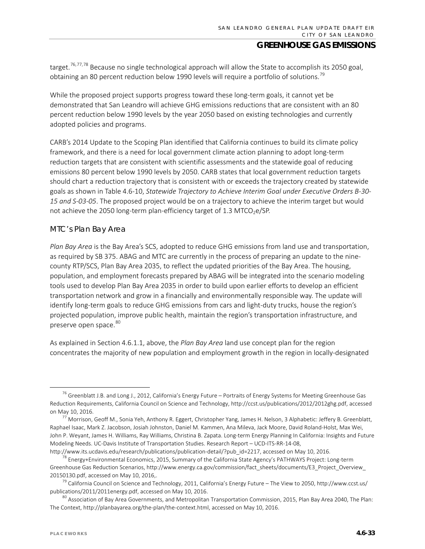target.<sup>[76,](#page-32-0)[77,](#page-32-1)[78](#page-32-2)</sup> Because no single technological approach will allow the State to accomplish its 2050 goal, obtaining an 80 percent reduction below 1990 levels will require a portfolio of solutions.<sup>[79](#page-32-3)</sup>

While the proposed project supports progress toward these long-term goals, it cannot yet be demonstrated that San Leandro will achieve GHG emissions reductions that are consistent with an 80 percent reduction below 1990 levels by the year 2050 based on existing technologies and currently adopted policies and programs.

CARB's 2014 Update to the Scoping Plan identified that California continues to build its climate policy framework, and there is a need for local government climate action planning to adopt long-term reduction targets that are consistent with scientific assessments and the statewide goal of reducing emissions 80 percent below 1990 levels by 2050. CARB states that local government reduction targets should chart a reduction trajectory that is consistent with or exceeds the trajectory created by statewide goals as shown in Table 4.6-10, *Statewide Trajectory to Achieve Interim Goal under Executive Orders B-30- 15 and S-03-05*. The proposed project would be on a trajectory to achieve the interim target but would not achieve the 2050 long-term plan-efficiency target of 1.3 MTCO<sub>2</sub>e/SP.

#### *MTC's Plan Bay Area*

*Plan Bay Area* is the Bay Area's SCS, adopted to reduce GHG emissions from land use and transportation, as required by SB 375. ABAG and MTC are currently in the process of preparing an update to the ninecounty RTP/SCS, Plan Bay Area 2035, to reflect the updated priorities of the Bay Area. The housing, population, and employment forecasts prepared by ABAG will be integrated into the scenario modeling tools used to develop Plan Bay Area 2035 in order to build upon earlier efforts to develop an efficient transportation network and grow in a financially and environmentally responsible way. The update will identify long-term goals to reduce GHG emissions from cars and light-duty trucks, house the region's projected population, improve public health, maintain the region's transportation infrastructure, and preserve open space.<sup>[80](#page-32-4)</sup>

As explained in Section 4.6.1.1, above, the *Plan Bay Area* land use concept plan for the region concentrates the majority of new population and employment growth in the region in locally-designated

[http://www.its.ucdavis.edu/research/publications/publication-detail/?pub\\_id=2217,](http://www.its.ucdavis.edu/research/publications/publication-detail/?pub_id=2217) accessed on May 10, 2016.

<span id="page-32-0"></span><sup>&</sup>lt;sup>76</sup> Greenblatt J.B. and Long J., 2012, California's Energy Future – Portraits of Energy Systems for Meeting Greenhouse Gas Reduction Requirements, California Council on Science and Technology[, http://ccst.us/publications/2012/2012ghg.pdf,](http://ccst.us/publications/2012/2012ghg.pdf) accessed on May 10, 2016.

<span id="page-32-1"></span> $^{77}$  Morrison, Geoff M., Sonia Yeh, Anthony R. Eggert, Christopher Yang, James H. Nelson, 3 Alphabetic: Jeffery B. Greenblatt, Raphael Isaac, Mark Z. Jacobson, Josiah Johnston, Daniel M. Kammen, Ana Mileva, Jack Moore, David Roland-Holst, Max Wei, John P. Weyant, James H. Williams, Ray Williams, Christina B. Zapata. Long-term Energy Planning In California: Insights and Future Modeling Needs. UC-Davis Institute of Transportation Studies. Research Report – UCD-ITS-RR-14-08,

<span id="page-32-2"></span><sup>&</sup>lt;sup>78</sup> Energy+Environmental Economics, 2015, Summary of the California State Agency's PATHWAYS Project: Long-term Greenhouse Gas Reduction Scenarios, http://www.energy.ca.gov/commission/fact\_sheets/documents/E3\_Project\_Overview\_ 20150130.pdf, accessed on May 10, 2016,.

<span id="page-32-3"></span><sup>&</sup>lt;sup>79</sup> California Council on Science and Technology, 2011, California's Energy Future – The View to 2050, [http://www.ccst.us/](http://www.ccst.us/publications/2011/2011energy.pdf) [publications/2011/2011energy.pdf,](http://www.ccst.us/publications/2011/2011energy.pdf) accessed on May 10, 2016.

<span id="page-32-4"></span> $^{80}$  Association of Bay Area Governments, and Metropolitan Transportation Commission, 2015, Plan Bay Area 2040, The Plan: The Context, [http://planbayarea.org/the-plan/the-context.html,](http://planbayarea.org/the-plan/the-context.html) accessed on May 10, 2016.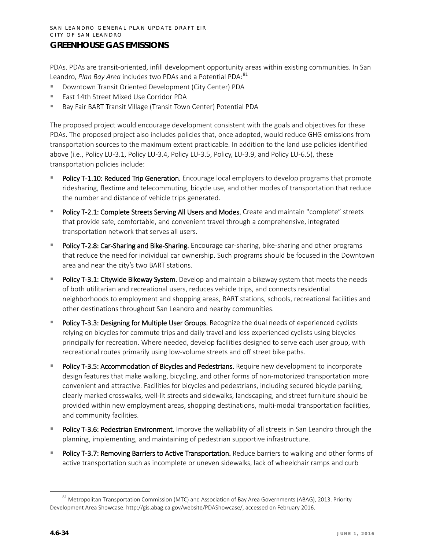PDAs. PDAs are transit-oriented, infill development opportunity areas within existing communities. In San Leandro, *Plan Bay Area* includes two PDAs and a Potential PDA: [81](#page-33-0)

- Downtown Transit Oriented Development (City Center) PDA
- East 14th Street Mixed Use Corridor PDA
- Bay Fair BART Transit Village (Transit Town Center) Potential PDA

The proposed project would encourage development consistent with the goals and objectives for these PDAs. The proposed project also includes policies that, once adopted, would reduce GHG emissions from transportation sources to the maximum extent practicable. In addition to the land use policies identified above (i.e., Policy LU-3.1, Policy LU-3.4, Policy LU-3.5, Policy, LU-3.9, and Policy LU-6.5), these transportation policies include:

- Policy T-1.10: Reduced Trip Generation. Encourage local employers to develop programs that promote ridesharing, flextime and telecommuting, bicycle use, and other modes of transportation that reduce the number and distance of vehicle trips generated.
- Policy T-2.1: Complete Streets Serving All Users and Modes. Create and maintain "complete" streets that provide safe, comfortable, and convenient travel through a comprehensive, integrated transportation network that serves all users.
- Policy T-2.8: Car-Sharing and Bike-Sharing. Encourage car-sharing, bike-sharing and other programs that reduce the need for individual car ownership. Such programs should be focused in the Downtown area and near the city's two BART stations.
- Policy T-3.1: Citywide Bikeway System. Develop and maintain a bikeway system that meets the needs of both utilitarian and recreational users, reduces vehicle trips, and connects residential neighborhoods to employment and shopping areas, BART stations, schools, recreational facilities and other destinations throughout San Leandro and nearby communities.
- Policy T-3.3: Designing for Multiple User Groups. Recognize the dual needs of experienced cyclists relying on bicycles for commute trips and daily travel and less experienced cyclists using bicycles principally for recreation. Where needed, develop facilities designed to serve each user group, with recreational routes primarily using low-volume streets and off street bike paths.
- Policy T-3.5: Accommodation of Bicycles and Pedestrians. Require new development to incorporate design features that make walking, bicycling, and other forms of non-motorized transportation more convenient and attractive. Facilities for bicycles and pedestrians, including secured bicycle parking, clearly marked crosswalks, well-lit streets and sidewalks, landscaping, and street furniture should be provided within new employment areas, shopping destinations, multi-modal transportation facilities, and community facilities.
- Policy T-3.6: Pedestrian Environment. Improve the walkability of all streets in San Leandro through the planning, implementing, and maintaining of pedestrian supportive infrastructure.
- Policy T-3.7: Removing Barriers to Active Transportation. Reduce barriers to walking and other forms of active transportation such as incomplete or uneven sidewalks, lack of wheelchair ramps and curb

<span id="page-33-0"></span><sup>&</sup>lt;sup>81</sup> Metropolitan Transportation Commission (MTC) and Association of Bay Area Governments (ABAG), 2013. Priority Development Area Showcase. [http://gis.abag.ca.gov/website/PDAShowcase/,](http://gis.abag.ca.gov/website/PDAShowcase/) accessed on February 2016.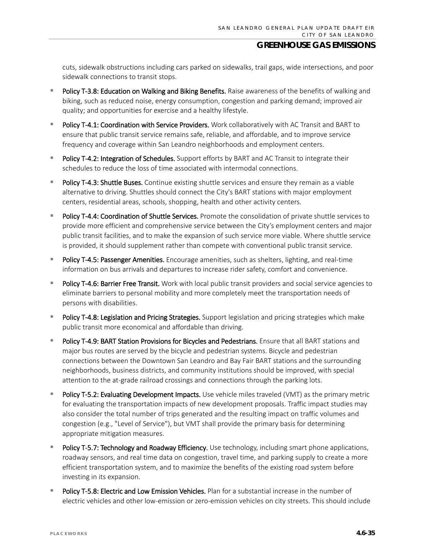cuts, sidewalk obstructions including cars parked on sidewalks, trail gaps, wide intersections, and poor sidewalk connections to transit stops.

- Policy T-3.8: Education on Walking and Biking Benefits. Raise awareness of the benefits of walking and biking, such as reduced noise, energy consumption, congestion and parking demand; improved air quality; and opportunities for exercise and a healthy lifestyle.
- Policy T-4.1: Coordination with Service Providers. Work collaboratively with AC Transit and BART to ensure that public transit service remains safe, reliable, and affordable, and to improve service frequency and coverage within San Leandro neighborhoods and employment centers.
- **Policy T-4.2: Integration of Schedules.** Support efforts by BART and AC Transit to integrate their schedules to reduce the loss of time associated with intermodal connections.
- Policy T-4.3: Shuttle Buses. Continue existing shuttle services and ensure they remain as a viable alternative to driving. Shuttles should connect the City's BART stations with major employment centers, residential areas, schools, shopping, health and other activity centers.
- Policy T-4.4: Coordination of Shuttle Services. Promote the consolidation of private shuttle services to provide more efficient and comprehensive service between the City's employment centers and major public transit facilities, and to make the expansion of such service more viable. Where shuttle service is provided, it should supplement rather than compete with conventional public transit service.
- Policy T-4.5: Passenger Amenities. Encourage amenities, such as shelters, lighting, and real-time information on bus arrivals and departures to increase rider safety, comfort and convenience.
- Policy T-4.6: Barrier Free Transit. Work with local public transit providers and social service agencies to eliminate barriers to personal mobility and more completely meet the transportation needs of persons with disabilities.
- Policy T-4.8: Legislation and Pricing Strategies. Support legislation and pricing strategies which make public transit more economical and affordable than driving.
- Policy T-4.9: BART Station Provisions for Bicycles and Pedestrians. Ensure that all BART stations and major bus routes are served by the bicycle and pedestrian systems. Bicycle and pedestrian connections between the Downtown San Leandro and Bay Fair BART stations and the surrounding neighborhoods, business districts, and community institutions should be improved, with special attention to the at-grade railroad crossings and connections through the parking lots.
- Policy T-5.2: Evaluating Development Impacts. Use vehicle miles traveled (VMT) as the primary metric for evaluating the transportation impacts of new development proposals. Traffic impact studies may also consider the total number of trips generated and the resulting impact on traffic volumes and congestion (e.g., "Level of Service"), but VMT shall provide the primary basis for determining appropriate mitigation measures.
- Policy T-5.7: Technology and Roadway Efficiency. Use technology, including smart phone applications, roadway sensors, and real time data on congestion, travel time, and parking supply to create a more efficient transportation system, and to maximize the benefits of the existing road system before investing in its expansion.
- Policy T-5.8: Electric and Low Emission Vehicles. Plan for a substantial increase in the number of electric vehicles and other low-emission or zero-emission vehicles on city streets. This should include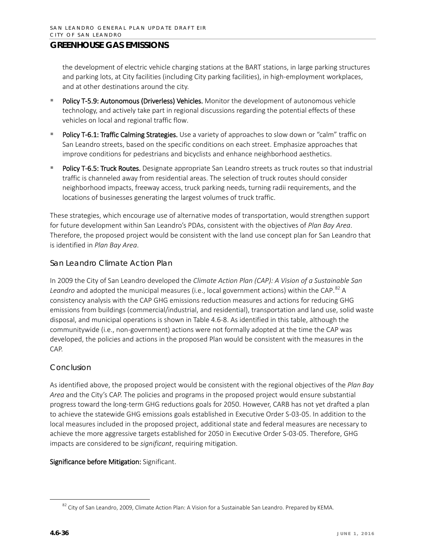the development of electric vehicle charging stations at the BART stations, in large parking structures and parking lots, at City facilities (including City parking facilities), in high-employment workplaces, and at other destinations around the city.

- Policy T-5.9: Autonomous (Driverless) Vehicles. Monitor the development of autonomous vehicle technology, and actively take part in regional discussions regarding the potential effects of these vehicles on local and regional traffic flow.
- Policy T-6.1: Traffic Calming Strategies. Use a variety of approaches to slow down or "calm" traffic on San Leandro streets, based on the specific conditions on each street. Emphasize approaches that improve conditions for pedestrians and bicyclists and enhance neighborhood aesthetics.
- Policy T-6.5: Truck Routes. Designate appropriate San Leandro streets as truck routes so that industrial traffic is channeled away from residential areas. The selection of truck routes should consider neighborhood impacts, freeway access, truck parking needs, turning radii requirements, and the locations of businesses generating the largest volumes of truck traffic.

These strategies, which encourage use of alternative modes of transportation, would strengthen support for future development within San Leandro's PDAs, consistent with the objectives of *Plan Bay Area*. Therefore, the proposed project would be consistent with the land use concept plan for San Leandro that is identified in *Plan Bay Area*.

### *San Leandro Climate Action Plan*

In 2009 the City of San Leandro developed the *Climate Action Plan (CAP): A Vision of a Sustainable San Leandro* and adopted the municipal measures (i.e., local government actions) within the CAP. [82](#page-35-0) A consistency analysis with the CAP GHG emissions reduction measures and actions for reducing GHG emissions from buildings (commercial/industrial, and residential), transportation and land use, solid waste disposal, and municipal operations is shown in Table 4.6-8. As identified in this table, although the communitywide (i.e., non-government) actions were not formally adopted at the time the CAP was developed, the policies and actions in the proposed Plan would be consistent with the measures in the CAP.

#### *Conclusion*

As identified above, the proposed project would be consistent with the regional objectives of the *Plan Bay Area* and the City's CAP. The policies and programs in the proposed project would ensure substantial progress toward the long-term GHG reductions goals for 2050. However, CARB has not yet drafted a plan to achieve the statewide GHG emissions goals established in Executive Order S-03-05. In addition to the local measures included in the proposed project, additional state and federal measures are necessary to achieve the more aggressive targets established for 2050 in Executive Order S-03-05. Therefore, GHG impacts are considered to be *significant*, requiring mitigation.

#### Significance before Mitigation: Significant.

<span id="page-35-0"></span><sup>82</sup> City of San Leandro, 2009, Climate Action Plan: A Vision for a Sustainable San Leandro. Prepared by KEMA.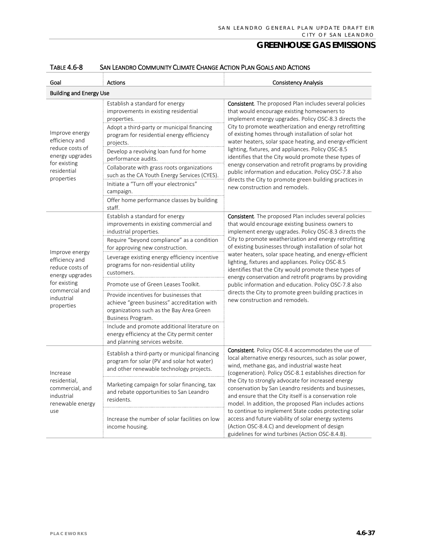| Goal                                                                                                                   | <b>Actions</b>                                                                                                                                                                                                                                                                                                                                                                                                                                                               | <b>Consistency Analysis</b>                                                                                                                                                                                                                                                                                                                                                                                                                                                                                                                                                                                                                                                                  |  |  |
|------------------------------------------------------------------------------------------------------------------------|------------------------------------------------------------------------------------------------------------------------------------------------------------------------------------------------------------------------------------------------------------------------------------------------------------------------------------------------------------------------------------------------------------------------------------------------------------------------------|----------------------------------------------------------------------------------------------------------------------------------------------------------------------------------------------------------------------------------------------------------------------------------------------------------------------------------------------------------------------------------------------------------------------------------------------------------------------------------------------------------------------------------------------------------------------------------------------------------------------------------------------------------------------------------------------|--|--|
|                                                                                                                        | <b>Building and Energy Use</b>                                                                                                                                                                                                                                                                                                                                                                                                                                               |                                                                                                                                                                                                                                                                                                                                                                                                                                                                                                                                                                                                                                                                                              |  |  |
| Improve energy<br>efficiency and<br>reduce costs of<br>energy upgrades<br>for existing<br>residential<br>properties    | Establish a standard for energy<br>improvements in existing residential<br>properties.<br>Adopt a third-party or municipal financing<br>program for residential energy efficiency<br>projects.<br>Develop a revolving loan fund for home<br>performance audits.<br>Collaborate with grass roots organizations<br>such as the CA Youth Energy Services (CYES).<br>Initiate a "Turn off your electronics"<br>campaign.<br>Offer home performance classes by building<br>staff. | <b>Consistent</b> . The proposed Plan includes several policies<br>that would encourage existing homeowners to<br>implement energy upgrades. Policy OSC-8.3 directs the<br>City to promote weatherization and energy retrofitting<br>of existing homes through installation of solar hot<br>water heaters, solar space heating, and energy-efficient<br>lighting, fixtures, and appliances. Policy OSC-8.5<br>identifies that the City would promote these types of<br>energy conservation and retrofit programs by providing<br>public information and education. Policy OSC-7.8 also<br>directs the City to promote green building practices in<br>new construction and remodels.          |  |  |
| Improve energy<br>efficiency and<br>reduce costs of<br>energy upgrades<br>for existing<br>commercial and<br>industrial | Establish a standard for energy<br>improvements in existing commercial and<br>industrial properties.<br>Require "beyond compliance" as a condition<br>for approving new construction.<br>Leverage existing energy efficiency incentive<br>programs for non-residential utility<br>customers.<br>Promote use of Green Leases Toolkit.<br>Provide incentives for businesses that<br>achieve "green business" accreditation with                                                | <b>Consistent</b> . The proposed Plan includes several policies<br>that would encourage existing business owners to<br>implement energy upgrades. Policy OSC-8.3 directs the<br>City to promote weatherization and energy retrofitting<br>of existing businesses through installation of solar hot<br>water heaters, solar space heating, and energy-efficient<br>lighting, fixtures and appliances. Policy OSC-8.5<br>identifies that the City would promote these types of<br>energy conservation and retrofit programs by providing<br>public information and education. Policy OSC-7.8 also<br>directs the City to promote green building practices in<br>new construction and remodels. |  |  |
| properties                                                                                                             | organizations such as the Bay Area Green<br>Business Program.<br>Include and promote additional literature on<br>energy efficiency at the City permit center<br>and planning services website.                                                                                                                                                                                                                                                                               |                                                                                                                                                                                                                                                                                                                                                                                                                                                                                                                                                                                                                                                                                              |  |  |
| Increase<br>residential,<br>commercial, and<br>industrial<br>renewable energy<br>use                                   | Establish a third-party or municipal financing<br>program for solar (PV and solar hot water)<br>and other renewable technology projects.                                                                                                                                                                                                                                                                                                                                     | <b>Consistent</b> . Policy OSC-8.4 accommodates the use of<br>local alternative energy resources, such as solar power,<br>wind, methane gas, and industrial waste heat<br>(cogeneration). Policy OSC-8.1 establishes direction for                                                                                                                                                                                                                                                                                                                                                                                                                                                           |  |  |
|                                                                                                                        | Marketing campaign for solar financing, tax<br>and rebate opportunities to San Leandro<br>residents.                                                                                                                                                                                                                                                                                                                                                                         | the City to strongly advocate for increased energy<br>conservation by San Leandro residents and businesses,<br>and ensure that the City itself is a conservation role<br>model. In addition, the proposed Plan includes actions                                                                                                                                                                                                                                                                                                                                                                                                                                                              |  |  |
|                                                                                                                        | Increase the number of solar facilities on low<br>income housing.                                                                                                                                                                                                                                                                                                                                                                                                            | to continue to implement State codes protecting solar<br>access and future viability of solar energy systems<br>(Action OSC-8.4.C) and development of design<br>guidelines for wind turbines (Action OSC-8.4.B).                                                                                                                                                                                                                                                                                                                                                                                                                                                                             |  |  |

#### TABLE 4.6-8 SAN LEANDRO COMMUNITY CLIMATE CHANGE ACTION PLAN GOALS AND ACTIONS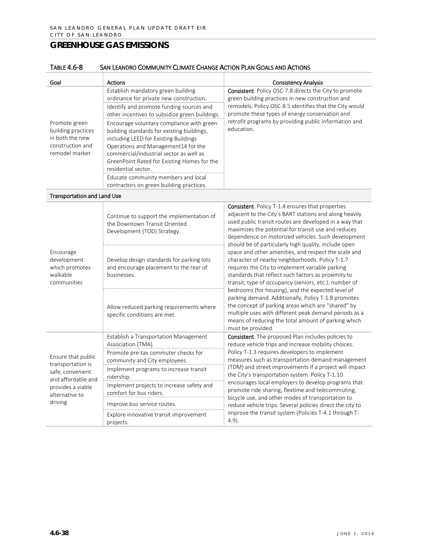| Goal                                                                                                                     | <b>Actions</b>                                                                                                                                                                                                                                                                                                                  | <b>Consistency Analysis</b>                                                                                                                                                                                                                                                                                                                      |
|--------------------------------------------------------------------------------------------------------------------------|---------------------------------------------------------------------------------------------------------------------------------------------------------------------------------------------------------------------------------------------------------------------------------------------------------------------------------|--------------------------------------------------------------------------------------------------------------------------------------------------------------------------------------------------------------------------------------------------------------------------------------------------------------------------------------------------|
|                                                                                                                          | Establish mandatory green building<br>ordinance for private new construction.                                                                                                                                                                                                                                                   | <b>Consistent.</b> Policy OSC-7.8 directs the City to promote<br>green building practices in new construction and                                                                                                                                                                                                                                |
|                                                                                                                          | Identify and promote funding sources and<br>other incentives to subsidize green buildings.                                                                                                                                                                                                                                      | remodels. Policy OSC-8.5 identifies that the City would<br>promote these types of energy conservation and                                                                                                                                                                                                                                        |
| Promote green<br>building practices<br>in both the new<br>construction and<br>remodel market                             | Encourage voluntary compliance with green<br>building standards for existing buildings,<br>including LEED for Existing Buildings<br>Operations and Management14 for the<br>commercial/industrial sector as well as<br>GreenPoint Rated for Existing Homes for the<br>residential sector.<br>Educate community members and local | retrofit programs by providing public information and<br>education.                                                                                                                                                                                                                                                                              |
|                                                                                                                          | contractors on green building practices.                                                                                                                                                                                                                                                                                        |                                                                                                                                                                                                                                                                                                                                                  |
| <b>Transportation and Land Use</b>                                                                                       |                                                                                                                                                                                                                                                                                                                                 |                                                                                                                                                                                                                                                                                                                                                  |
| Encourage<br>development<br>which promotes<br>walkable<br>communities                                                    | Continue to support the implementation of<br>the Downtown Transit Oriented<br>Development (TOD) Strategy.                                                                                                                                                                                                                       | <b>Consistent.</b> Policy T-1.4 ensures that properties<br>adjacent to the City's BART stations and along heavily<br>used public transit routes are developed in a way that<br>maximizes the potential for transit use and reduces<br>dependence on motorized vehicles. Such development<br>should be of particularly high quality, include open |
|                                                                                                                          | Develop design standards for parking lots<br>and encourage placement to the rear of<br>businesses.                                                                                                                                                                                                                              | space and other amenities, and respect the scale and<br>character of nearby neighborhoods. Policy T-1.7<br>requires the City to implement variable parking<br>standards that reflect such factors as proximity to<br>transit, type of occupancy (seniors, etc.), number of                                                                       |
|                                                                                                                          | Allow reduced parking requirements where<br>specific conditions are met.                                                                                                                                                                                                                                                        | bedrooms (for housing), and the expected level of<br>parking demand. Additionally, Policy T-1.8 promotes<br>the concept of parking areas which are "shared" by<br>multiple uses with different peak demand periods as a<br>means of reducing the total amount of parking which<br>must be provided.                                              |
|                                                                                                                          | Establish a Transportation Management<br>Association (TMA).                                                                                                                                                                                                                                                                     | Consistent. The proposed Plan includes policies to<br>reduce vehicle trips and increase mobility choices.                                                                                                                                                                                                                                        |
| Ensure that public<br>transportation is<br>safe, convenient<br>and affordable and<br>provides a viable<br>alternative to | Promote pre-tax commuter checks for<br>community and City employees.                                                                                                                                                                                                                                                            | Policy T-1.3 requires developers to implement<br>measures such as transportation demand management                                                                                                                                                                                                                                               |
|                                                                                                                          | Implement programs to increase transit<br>ridership.                                                                                                                                                                                                                                                                            | (TDM) and street improvements if a project will impact<br>the City's transportation system. Policy T-1.10                                                                                                                                                                                                                                        |
|                                                                                                                          | Implement projects to increase safety and<br>comfort for bus riders.                                                                                                                                                                                                                                                            | encourages local employers to develop programs that<br>promote ride sharing, flextime and telecommuting,                                                                                                                                                                                                                                         |
| driving                                                                                                                  | Improve bus service routes.                                                                                                                                                                                                                                                                                                     | bicycle use, and other modes of transportation to<br>reduce vehicle trips. Several policies direct the city to                                                                                                                                                                                                                                   |
|                                                                                                                          | Explore innovative transit improvement<br>projects.                                                                                                                                                                                                                                                                             | improve the transit system (Policies T-4.1 through T-<br>$4.9$ ).                                                                                                                                                                                                                                                                                |

#### TABLE 4.6-8 SAN LEANDRO COMMUNITY CLIMATE CHANGE ACTION PLAN GOALS AND ACTIONS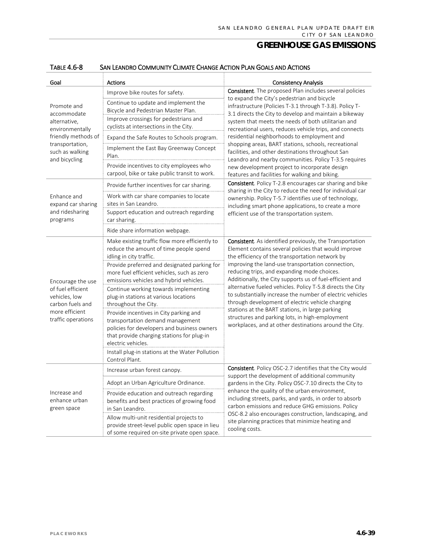| Goal                                                                                                                | <b>Actions</b>                                                                                                                                                                                | <b>Consistency Analysis</b>                                                                                                                                                 |  |
|---------------------------------------------------------------------------------------------------------------------|-----------------------------------------------------------------------------------------------------------------------------------------------------------------------------------------------|-----------------------------------------------------------------------------------------------------------------------------------------------------------------------------|--|
| Promote and<br>accommodate<br>alternative,<br>environmentally                                                       | Improve bike routes for safety.                                                                                                                                                               | <b>Consistent</b> . The proposed Plan includes several policies                                                                                                             |  |
|                                                                                                                     | Continue to update and implement the<br>Bicycle and Pedestrian Master Plan.                                                                                                                   | to expand the City's pedestrian and bicycle<br>infrastructure (Policies T-3.1 through T-3.8). Policy T-                                                                     |  |
|                                                                                                                     | Improve crossings for pedestrians and<br>cyclists at intersections in the City.                                                                                                               | 3.1 directs the City to develop and maintain a bikeway<br>system that meets the needs of both utilitarian and<br>recreational users, reduces vehicle trips, and connects    |  |
| friendly methods of                                                                                                 | Expand the Safe Routes to Schools program.                                                                                                                                                    | residential neighborhoods to employment and                                                                                                                                 |  |
| transportation,<br>such as walking<br>and bicycling                                                                 | Implement the East Bay Greenway Concept<br>Plan.                                                                                                                                              | shopping areas, BART stations, schools, recreational<br>facilities, and other destinations throughout San                                                                   |  |
|                                                                                                                     | Provide incentives to city employees who<br>carpool, bike or take public transit to work.                                                                                                     | Leandro and nearby communities. Policy T-3.5 requires<br>new development project to incorporate design<br>features and facilities for walking and biking.                   |  |
|                                                                                                                     | Provide further incentives for car sharing.                                                                                                                                                   | <b>Consistent</b> . Policy T-2.8 encourages car sharing and bike                                                                                                            |  |
| Enhance and<br>expand car sharing                                                                                   | Work with car share companies to locate<br>sites in San Leandro.                                                                                                                              | sharing in the City to reduce the need for individual car<br>ownership. Policy T-5.7 identifies use of technology,<br>including smart phone applications, to create a more  |  |
| and ridesharing<br>programs                                                                                         | Support education and outreach regarding<br>car sharing.                                                                                                                                      | efficient use of the transportation system.                                                                                                                                 |  |
|                                                                                                                     | Ride share information webpage.                                                                                                                                                               |                                                                                                                                                                             |  |
| Encourage the use<br>of fuel efficient<br>vehicles, low<br>carbon fuels and<br>more efficient<br>traffic operations | Make existing traffic flow more efficiently to<br>reduce the amount of time people spend<br>idling in city traffic.                                                                           | <b>Consistent</b> . As identified previously, the Transportation<br>Element contains several policies that would improve<br>the efficiency of the transportation network by |  |
|                                                                                                                     | Provide preferred and designated parking for<br>more fuel efficient vehicles, such as zero<br>emissions vehicles and hybrid vehicles.                                                         | improving the land-use transportation connection,<br>reducing trips, and expanding mode choices.<br>Additionally, the City supports us of fuel-efficient and                |  |
|                                                                                                                     | Continue working towards implementing<br>plug-in stations at various locations<br>throughout the City.                                                                                        | alternative fueled vehicles. Policy T-5.8 directs the City<br>to substantially increase the number of electric vehicles<br>through development of electric vehicle charging |  |
|                                                                                                                     | Provide incentives in City parking and<br>transportation demand management<br>policies for developers and business owners<br>that provide charging stations for plug-in<br>electric vehicles. | stations at the BART stations, in large parking<br>structures and parking lots, in high-employment<br>workplaces, and at other destinations around the City.                |  |
|                                                                                                                     | Install plug-in stations at the Water Pollution<br>Control Plant.                                                                                                                             |                                                                                                                                                                             |  |
|                                                                                                                     | Increase urban forest canopy.                                                                                                                                                                 | <b>Consistent</b> . Policy OSC-2.7 identifies that the City would<br>support the development of additional community                                                        |  |
| Increase and<br>enhance urban<br>green space                                                                        | Adopt an Urban Agriculture Ordinance                                                                                                                                                          | gardens in the City. Policy OSC-7.10 directs the City to                                                                                                                    |  |
|                                                                                                                     | Provide education and outreach regarding<br>benefits and best practices of growing food<br>in San Leandro.                                                                                    | enhance the quality of the urban environment,<br>including streets, parks, and yards, in order to absorb<br>carbon emissions and reduce GHG emissions. Policy               |  |
|                                                                                                                     | Allow multi-unit residential projects to<br>provide street-level public open space in lieu<br>of some required on-site private open space.                                                    | OSC-8.2 also encourages construction, landscaping, and<br>site planning practices that minimize heating and<br>cooling costs.                                               |  |

#### TABLE 4.6-8 SAN LEANDRO COMMUNITY CLIMATE CHANGE ACTION PLAN GOALS AND ACTIONS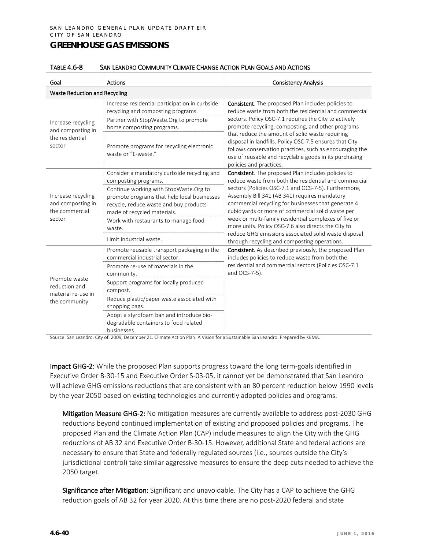| SAN LEANDRO COMMUNITY CLIMATE CHANGE ACTION PLAN GOALS AND ACTIONS<br>TABLE 4.6-8 |  |
|-----------------------------------------------------------------------------------|--|
|-----------------------------------------------------------------------------------|--|

| Goal                                                                  | <b>Actions</b>                                                                                                                                                                                                                 | <b>Consistency Analysis</b>                                                                                                                                                                                                                                                                                                                                                                                                                                          |  |  |  |
|-----------------------------------------------------------------------|--------------------------------------------------------------------------------------------------------------------------------------------------------------------------------------------------------------------------------|----------------------------------------------------------------------------------------------------------------------------------------------------------------------------------------------------------------------------------------------------------------------------------------------------------------------------------------------------------------------------------------------------------------------------------------------------------------------|--|--|--|
|                                                                       | <b>Waste Reduction and Recycling</b>                                                                                                                                                                                           |                                                                                                                                                                                                                                                                                                                                                                                                                                                                      |  |  |  |
| Increase recycling<br>and composting in<br>the residential<br>sector  | Increase residential participation in curbside<br>recycling and composting programs.<br>Partner with StopWaste.Org to promote<br>home composting programs.<br>Promote programs for recycling electronic<br>waste or "E-waste." | <b>Consistent</b> . The proposed Plan includes policies to<br>reduce waste from both the residential and commercial<br>sectors. Policy OSC-7.1 requires the City to actively<br>promote recycling, composting, and other programs<br>that reduce the amount of solid waste requiring<br>disposal in landfills. Policy OSC-7.5 ensures that City<br>follows conservation practices, such as encouraging the<br>use of reusable and recyclable goods in its purchasing |  |  |  |
|                                                                       | Consider a mandatory curbside recycling and                                                                                                                                                                                    | policies and practices.<br><b>Consistent</b> . The proposed Plan includes policies to                                                                                                                                                                                                                                                                                                                                                                                |  |  |  |
| Increase recycling<br>and composting in<br>the commercial<br>sector   | composting programs.<br>Continue working with StopWaste.Org to<br>promote programs that help local businesses<br>recycle, reduce waste and buy products<br>made of recycled materials.                                         | reduce waste from both the residential and commercial<br>sectors (Policies OSC-7.1 and OCS-7-5). Furthermore,<br>Assembly Bill 341 (AB 341) requires mandatory<br>commercial recycling for businesses that generate 4<br>cubic yards or more of commercial solid waste per                                                                                                                                                                                           |  |  |  |
|                                                                       | Work with restaurants to manage food<br>waste.                                                                                                                                                                                 | week or multi-family residential complexes of five or<br>more units. Policy OSC-7.6 also directs the City to<br>reduce GHG emissions associated solid waste disposal                                                                                                                                                                                                                                                                                                 |  |  |  |
|                                                                       | Limit industrial waste.                                                                                                                                                                                                        | through recycling and composting operations.                                                                                                                                                                                                                                                                                                                                                                                                                         |  |  |  |
| Promote waste<br>reduction and<br>material re-use in<br>the community | Promote reusable transport packaging in the<br>commercial industrial sector.                                                                                                                                                   | Consistent. As described previously, the proposed Plan<br>includes policies to reduce waste from both the                                                                                                                                                                                                                                                                                                                                                            |  |  |  |
|                                                                       | Promote re-use of materials in the<br>community.                                                                                                                                                                               | residential and commercial sectors (Policies OSC-7.1<br>and OCS-7-5).                                                                                                                                                                                                                                                                                                                                                                                                |  |  |  |
|                                                                       | Support programs for locally produced<br>compost.                                                                                                                                                                              |                                                                                                                                                                                                                                                                                                                                                                                                                                                                      |  |  |  |
|                                                                       | Reduce plastic/paper waste associated with<br>shopping bags.                                                                                                                                                                   |                                                                                                                                                                                                                                                                                                                                                                                                                                                                      |  |  |  |
|                                                                       | Adopt a styrofoam ban and introduce bio-<br>degradable containers to food related<br>businesses.                                                                                                                               |                                                                                                                                                                                                                                                                                                                                                                                                                                                                      |  |  |  |

Source: San Leandro, City of. 2009, December 21. Climate Action Plan: A Vision for a Sustainable San Leandro. Prepared by KEMA.

Impact GHG-2: While the proposed Plan supports progress toward the long term-goals identified in Executive Order B-30-15 and Executive Order S-03-05, it cannot yet be demonstrated that San Leandro will achieve GHG emissions reductions that are consistent with an 80 percent reduction below 1990 levels by the year 2050 based on existing technologies and currently adopted policies and programs.

Mitigation Measure GHG-2: No mitigation measures are currently available to address post-2030 GHG reductions beyond continued implementation of existing and proposed policies and programs. The proposed Plan and the Climate Action Plan (CAP) include measures to align the City with the GHG reductions of AB 32 and Executive Order B-30-15. However, additional State and federal actions are necessary to ensure that State and federally regulated sources (i.e., sources outside the City's jurisdictional control) take similar aggressive measures to ensure the deep cuts needed to achieve the 2050 target.

Significance after Mitigation: Significant and unavoidable. The City has a CAP to achieve the GHG reduction goals of AB 32 for year 2020. At this time there are no post-2020 federal and state